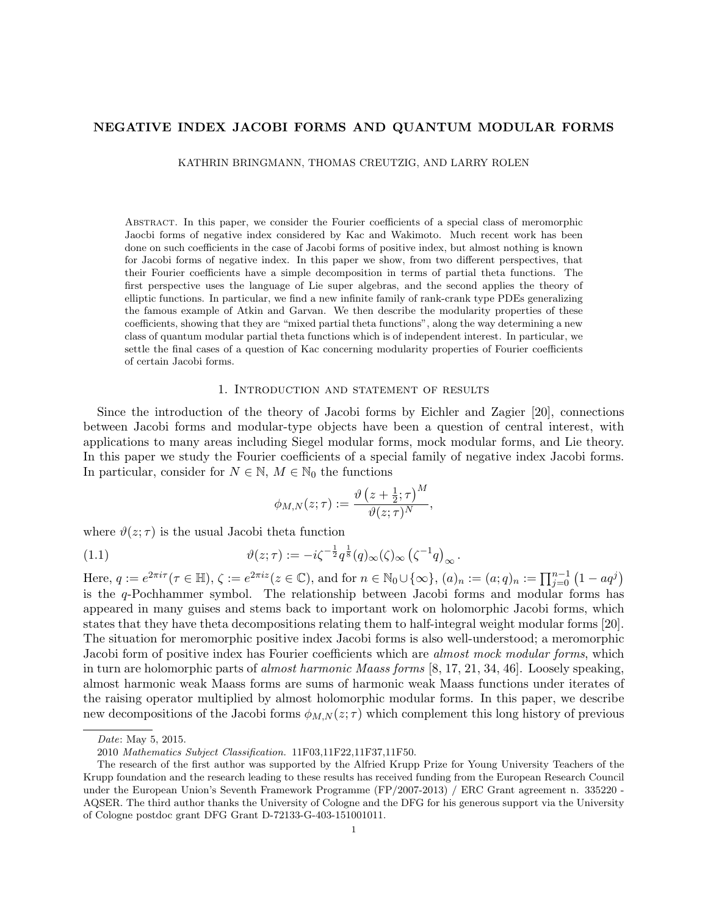# NEGATIVE INDEX JACOBI FORMS AND QUANTUM MODULAR FORMS

KATHRIN BRINGMANN, THOMAS CREUTZIG, AND LARRY ROLEN

Abstract. In this paper, we consider the Fourier coefficients of a special class of meromorphic Jaocbi forms of negative index considered by Kac and Wakimoto. Much recent work has been done on such coefficients in the case of Jacobi forms of positive index, but almost nothing is known for Jacobi forms of negative index. In this paper we show, from two different perspectives, that their Fourier coefficients have a simple decomposition in terms of partial theta functions. The first perspective uses the language of Lie super algebras, and the second applies the theory of elliptic functions. In particular, we find a new infinite family of rank-crank type PDEs generalizing the famous example of Atkin and Garvan. We then describe the modularity properties of these coefficients, showing that they are "mixed partial theta functions", along the way determining a new class of quantum modular partial theta functions which is of independent interest. In particular, we settle the final cases of a question of Kac concerning modularity properties of Fourier coefficients of certain Jacobi forms.

#### 1. Introduction and statement of results

Since the introduction of the theory of Jacobi forms by Eichler and Zagier [20], connections between Jacobi forms and modular-type objects have been a question of central interest, with applications to many areas including Siegel modular forms, mock modular forms, and Lie theory. In this paper we study the Fourier coefficients of a special family of negative index Jacobi forms. In particular, consider for  $N \in \mathbb{N}$ ,  $M \in \mathbb{N}_0$  the functions

$$
\phi_{M,N}(z;\tau) := \frac{\vartheta\left(z + \frac{1}{2};\tau\right)^M}{\vartheta(z;\tau)^N},
$$

where  $\vartheta(z;\tau)$  is the usual Jacobi theta function

(1.1) 
$$
\vartheta(z;\tau) := -i\zeta^{-\frac{1}{2}}q^{\frac{1}{8}}(q)_{\infty}(\zeta)_{\infty}\left(\zeta^{-1}q\right)_{\infty}.
$$

Here,  $q := e^{2\pi i \tau} (\tau \in \mathbb{H}), \zeta := e^{2\pi i z} (z \in \mathbb{C}),$  and for  $n \in \mathbb{N}_0 \cup \{\infty\}, (a)_n := (a;q)_n := \prod_{j=0}^{n-1} (1 - aq^j)$ is the q-Pochhammer symbol. The relationship between Jacobi forms and modular forms has appeared in many guises and stems back to important work on holomorphic Jacobi forms, which states that they have theta decompositions relating them to half-integral weight modular forms [20]. The situation for meromorphic positive index Jacobi forms is also well-understood; a meromorphic Jacobi form of positive index has Fourier coefficients which are almost mock modular forms, which in turn are holomorphic parts of almost harmonic Maass forms [8, 17, 21, 34, 46]. Loosely speaking, almost harmonic weak Maass forms are sums of harmonic weak Maass functions under iterates of the raising operator multiplied by almost holomorphic modular forms. In this paper, we describe new decompositions of the Jacobi forms  $\phi_{M,N}(z;\tau)$  which complement this long history of previous

Date: May 5, 2015.

<sup>2010</sup> Mathematics Subject Classification. 11F03,11F22,11F37,11F50.

The research of the first author was supported by the Alfried Krupp Prize for Young University Teachers of the Krupp foundation and the research leading to these results has received funding from the European Research Council under the European Union's Seventh Framework Programme (FP/2007-2013) / ERC Grant agreement n. 335220 - AQSER. The third author thanks the University of Cologne and the DFG for his generous support via the University of Cologne postdoc grant DFG Grant D-72133-G-403-151001011.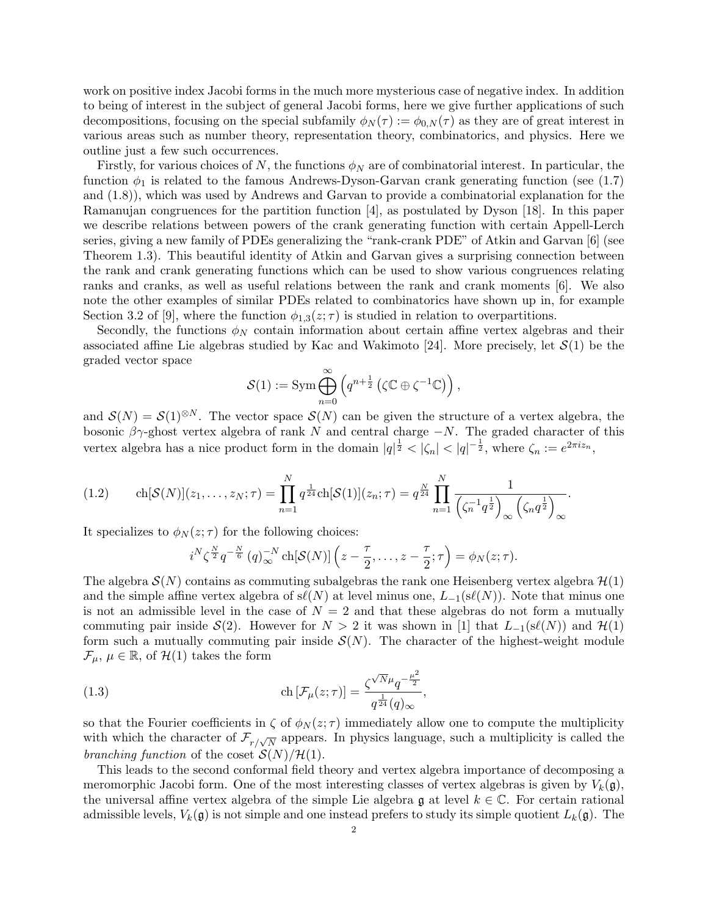work on positive index Jacobi forms in the much more mysterious case of negative index. In addition to being of interest in the subject of general Jacobi forms, here we give further applications of such decompositions, focusing on the special subfamily  $\phi_N(\tau) := \phi_{0,N}(\tau)$  as they are of great interest in various areas such as number theory, representation theory, combinatorics, and physics. Here we outline just a few such occurrences.

Firstly, for various choices of N, the functions  $\phi_N$  are of combinatorial interest. In particular, the function  $\phi_1$  is related to the famous Andrews-Dyson-Garvan crank generating function (see (1.7) and (1.8)), which was used by Andrews and Garvan to provide a combinatorial explanation for the Ramanujan congruences for the partition function [4], as postulated by Dyson [18]. In this paper we describe relations between powers of the crank generating function with certain Appell-Lerch series, giving a new family of PDEs generalizing the "rank-crank PDE" of Atkin and Garvan [6] (see Theorem 1.3). This beautiful identity of Atkin and Garvan gives a surprising connection between the rank and crank generating functions which can be used to show various congruences relating ranks and cranks, as well as useful relations between the rank and crank moments [6]. We also note the other examples of similar PDEs related to combinatorics have shown up in, for example Section 3.2 of [9], where the function  $\phi_{1,3}(z;\tau)$  is studied in relation to overpartitions.

Secondly, the functions  $\phi_N$  contain information about certain affine vertex algebras and their associated affine Lie algebras studied by Kac and Wakimoto [24]. More precisely, let  $\mathcal{S}(1)$  be the graded vector space

$$
\mathcal{S}(1) := \operatorname{Sym} \bigoplus_{n=0}^{\infty} \left( q^{n + \frac{1}{2}} \left( \zeta \mathbb{C} \oplus \zeta^{-1} \mathbb{C} \right) \right),
$$

and  $S(N) = S(1)^{\otimes N}$ . The vector space  $S(N)$  can be given the structure of a vertex algebra, the bosonic  $\beta\gamma$ -ghost vertex algebra of rank N and central charge  $-N$ . The graded character of this vertex algebra has a nice product form in the domain  $|q|^{\frac{1}{2}} < |\zeta_n| < |q|^{-\frac{1}{2}}$ , where  $\zeta_n := e^{2\pi i z_n}$ ,

$$
(1.2) \qquad \text{ch}[\mathcal{S}(N)](z_1,\ldots,z_N;\tau) = \prod_{n=1}^N q^{\frac{1}{24}} \text{ch}[\mathcal{S}(1)](z_n;\tau) = q^{\frac{N}{24}} \prod_{n=1}^N \frac{1}{\left(\zeta_n^{-1} q^{\frac{1}{2}}\right)_{\infty} \left(\zeta_n q^{\frac{1}{2}}\right)_{\infty}}.
$$

It specializes to  $\phi_N(z;\tau)$  for the following choices:

$$
i^N \zeta^{\frac{N}{2}} q^{-\frac{N}{6}} (q)_{\infty}^{-N} \operatorname{ch}[\mathcal{S}(N)] \left(z - \frac{\tau}{2}, \ldots, z - \frac{\tau}{2}; \tau\right) = \phi_N(z; \tau).
$$

The algebra  $\mathcal{S}(N)$  contains as commuting subalgebras the rank one Heisenberg vertex algebra  $\mathcal{H}(1)$ and the simple affine vertex algebra of  $s\ell(N)$  at level minus one,  $L_{-1}(s\ell(N))$ . Note that minus one is not an admissible level in the case of  $N = 2$  and that these algebras do not form a mutually commuting pair inside  $\mathcal{S}(2)$ . However for  $N > 2$  it was shown in [1] that  $L_{-1}(s\ell(N))$  and  $\mathcal{H}(1)$ form such a mutually commuting pair inside  $\mathcal{S}(N)$ . The character of the highest-weight module  $\mathcal{F}_{\mu}, \mu \in \mathbb{R}$ , of  $\mathcal{H}(1)$  takes the form

(1.3) 
$$
\operatorname{ch} \left[\mathcal{F}_{\mu}(z;\tau)\right] = \frac{\zeta^{\sqrt{N}\mu}q^{-\frac{\mu^{2}}{2}}}{q^{\frac{1}{24}}(q)_{\infty}},
$$

so that the Fourier coefficients in  $\zeta$  of  $\phi_N(z;\tau)$  immediately allow one to compute the multiplicity with which the character of  $\mathcal{F}_{r/\sqrt{N}}$  appears. In physics language, such a multiplicity is called the branching function of the coset  $\mathcal{S}(N)/\mathcal{H}(1)$ .

This leads to the second conformal field theory and vertex algebra importance of decomposing a meromorphic Jacobi form. One of the most interesting classes of vertex algebras is given by  $V_k(\mathfrak{g})$ , the universal affine vertex algebra of the simple Lie algebra  $\mathfrak g$  at level  $k \in \mathbb C$ . For certain rational admissible levels,  $V_k(\mathfrak{g})$  is not simple and one instead prefers to study its simple quotient  $L_k(\mathfrak{g})$ . The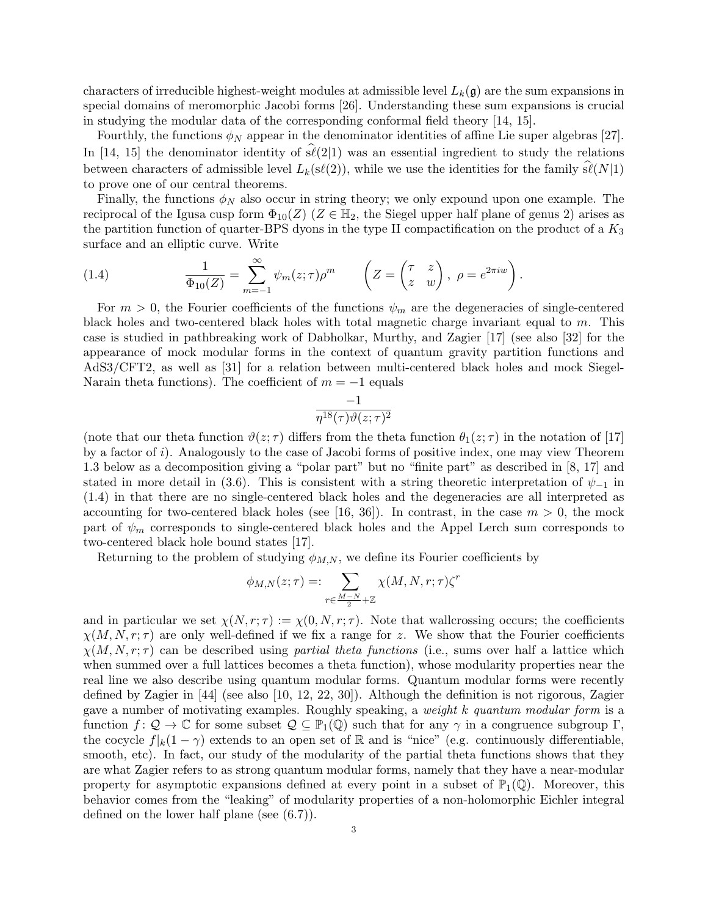characters of irreducible highest-weight modules at admissible level  $L_k(\mathfrak{g})$  are the sum expansions in special domains of meromorphic Jacobi forms [26]. Understanding these sum expansions is crucial in studying the modular data of the corresponding conformal field theory [14, 15].

Fourthly, the functions  $\phi_N$  appear in the denominator identities of affine Lie super algebras [27]. In [14, 15] the denominator identity of  $\hat{\mathfrak{sl}}(2|1)$  was an essential ingredient to study the relations between characters of admissible level  $L_k(s\ell(2))$ , while we use the identities for the family  $s\ell(N|1)$ to prove one of our central theorems.

Finally, the functions  $\phi_N$  also occur in string theory; we only expound upon one example. The reciprocal of the Igusa cusp form  $\Phi_{10}(Z)$  ( $Z \in \mathbb{H}_2$ , the Siegel upper half plane of genus 2) arises as the partition function of quarter-BPS dyons in the type II compactification on the product of a  $K_3$ surface and an elliptic curve. Write

(1.4) 
$$
\frac{1}{\Phi_{10}(Z)} = \sum_{m=-1}^{\infty} \psi_m(z;\tau)\rho^m \qquad \left(Z = \begin{pmatrix} \tau & z \\ z & w \end{pmatrix}, \ \rho = e^{2\pi i w} \right).
$$

For  $m > 0$ , the Fourier coefficients of the functions  $\psi_m$  are the degeneracies of single-centered black holes and two-centered black holes with total magnetic charge invariant equal to  $m$ . This case is studied in pathbreaking work of Dabholkar, Murthy, and Zagier [17] (see also [32] for the appearance of mock modular forms in the context of quantum gravity partition functions and AdS3/CFT2, as well as [31] for a relation between multi-centered black holes and mock Siegel-Narain theta functions). The coefficient of  $m = -1$  equals

$$
\frac{-1}{\eta^{18}(\tau)\vartheta(z;\tau)^2}
$$

(note that our theta function  $\vartheta(z;\tau)$  differs from the theta function  $\theta_1(z;\tau)$  in the notation of [17] by a factor of  $i$ ). Analogously to the case of Jacobi forms of positive index, one may view Theorem 1.3 below as a decomposition giving a "polar part" but no "finite part" as described in [8, 17] and stated in more detail in (3.6). This is consistent with a string theoretic interpretation of  $\psi_{-1}$  in (1.4) in that there are no single-centered black holes and the degeneracies are all interpreted as accounting for two-centered black holes (see [16, 36]). In contrast, in the case  $m > 0$ , the mock part of  $\psi_m$  corresponds to single-centered black holes and the Appel Lerch sum corresponds to two-centered black hole bound states [17].

Returning to the problem of studying  $\phi_{M,N}$ , we define its Fourier coefficients by

$$
\phi_{M,N}(z;\tau)=:\sum_{r\in\frac{M-N}{2}+\mathbb{Z}}\chi(M,N,r;\tau)\zeta^r
$$

and in particular we set  $\chi(N, r; \tau) := \chi(0, N, r; \tau)$ . Note that wallcrossing occurs; the coefficients  $\chi(M, N, r; \tau)$  are only well-defined if we fix a range for z. We show that the Fourier coefficients  $\chi(M, N, r; \tau)$  can be described using partial theta functions (i.e., sums over half a lattice which when summed over a full lattices becomes a theta function), whose modularity properties near the real line we also describe using quantum modular forms. Quantum modular forms were recently defined by Zagier in [44] (see also [10, 12, 22, 30]). Although the definition is not rigorous, Zagier gave a number of motivating examples. Roughly speaking, a weight k quantum modular form is a function  $f: \mathcal{Q} \to \mathbb{C}$  for some subset  $\mathcal{Q} \subseteq \mathbb{P}_1(\mathbb{Q})$  such that for any  $\gamma$  in a congruence subgroup  $\Gamma$ , the cocycle  $f|_k(1-\gamma)$  extends to an open set of R and is "nice" (e.g. continuously differentiable, smooth, etc). In fact, our study of the modularity of the partial theta functions shows that they are what Zagier refers to as strong quantum modular forms, namely that they have a near-modular property for asymptotic expansions defined at every point in a subset of  $\mathbb{P}_1(\mathbb{Q})$ . Moreover, this behavior comes from the "leaking" of modularity properties of a non-holomorphic Eichler integral defined on the lower half plane (see (6.7)).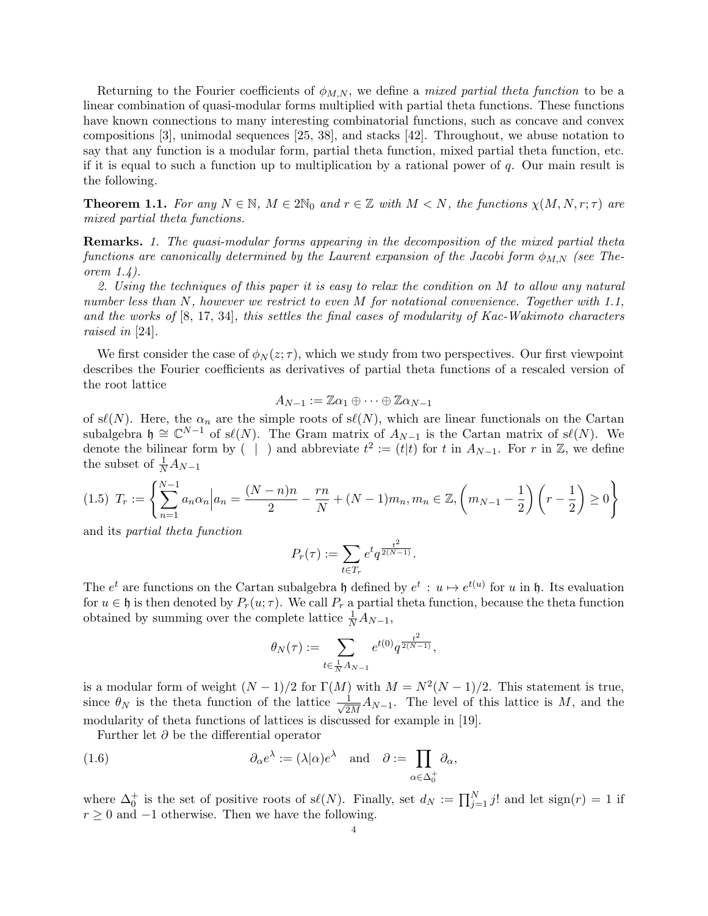Returning to the Fourier coefficients of  $\phi_{M,N}$ , we define a *mixed partial theta function* to be a linear combination of quasi-modular forms multiplied with partial theta functions. These functions have known connections to many interesting combinatorial functions, such as concave and convex compositions [3], unimodal sequences [25, 38], and stacks [42]. Throughout, we abuse notation to say that any function is a modular form, partial theta function, mixed partial theta function, etc. if it is equal to such a function up to multiplication by a rational power of  $q$ . Our main result is the following.

**Theorem 1.1.** For any  $N \in \mathbb{N}$ ,  $M \in 2\mathbb{N}_0$  and  $r \in \mathbb{Z}$  with  $M \leq N$ , the functions  $\chi(M, N, r; \tau)$  are mixed partial theta functions.

Remarks. 1. The quasi-modular forms appearing in the decomposition of the mixed partial theta functions are canonically determined by the Laurent expansion of the Jacobi form  $\phi_{M,N}$  (see Theorem 1.4).

2. Using the techniques of this paper it is easy to relax the condition on M to allow any natural number less than N, however we restrict to even M for notational convenience. Together with 1.1, and the works of  $[8, 17, 34]$ , this settles the final cases of modularity of Kac-Wakimoto characters raised in [24].

We first consider the case of  $\phi_N(z;\tau)$ , which we study from two perspectives. Our first viewpoint describes the Fourier coefficients as derivatives of partial theta functions of a rescaled version of the root lattice

$$
A_{N-1} := \mathbb{Z} \alpha_1 \oplus \cdots \oplus \mathbb{Z} \alpha_{N-1}
$$

of s $\ell(N)$ . Here, the  $\alpha_n$  are the simple roots of s $\ell(N)$ , which are linear functionals on the Cartan subalgebra  $\mathfrak{h} \cong \mathbb{C}^{N-1}$  of s $\ell(N)$ . The Gram matrix of  $A_{N-1}$  is the Cartan matrix of s $\ell(N)$ . We denote the bilinear form by  $( \vert \cdot )$  and abbreviate  $t^2 := (t \vert t)$  for t in  $A_{N-1}$ . For r in  $\mathbb{Z}$ , we define the subset of  $\frac{1}{N}A_{N-1}$ 

$$
(1.5) \ T_r := \left\{ \sum_{n=1}^{N-1} a_n \alpha_n \Big| a_n = \frac{(N-n)n}{2} - \frac{rn}{N} + (N-1)m_n, m_n \in \mathbb{Z}, \left( m_{N-1} - \frac{1}{2} \right) \left( r - \frac{1}{2} \right) \ge 0 \right\}
$$

and its partial theta function

$$
P_r(\tau) := \sum_{t \in T_r} e^t q^{\frac{t^2}{2(N-1)}}.
$$

The  $e^t$  are functions on the Cartan subalgebra  $\mathfrak h$  defined by  $e^t : u \mapsto e^{t(u)}$  for u in  $\mathfrak h$ . Its evaluation for  $u \in \mathfrak{h}$  is then denoted by  $P_r(u; \tau)$ . We call  $P_r$  a partial theta function, because the theta function obtained by summing over the complete lattice  $\frac{1}{N}A_{N-1}$ ,

$$
\theta_N(\tau) := \sum_{t \in \frac{1}{N} A_{N-1}} e^{t(0)} q^{\frac{t^2}{2(N-1)}},
$$

is a modular form of weight  $(N-1)/2$  for  $\Gamma(M)$  with  $M = N^2(N-1)/2$ . This statement is true, since  $\theta_N$  is the theta function of the lattice  $\frac{1}{\sqrt{2}}$  $\frac{1}{2M}A_{N-1}$ . The level of this lattice is M, and the modularity of theta functions of lattices is discussed for example in [19].

Further let  $\partial$  be the differential operator

(1.6) 
$$
\partial_{\alpha} e^{\lambda} := (\lambda | \alpha) e^{\lambda} \text{ and } \partial := \prod_{\alpha \in \Delta_0^+} \partial_{\alpha},
$$

where  $\Delta_0^+$  is the set of positive roots of s $\ell(N)$ . Finally, set  $d_N := \prod_{j=1}^N j!$  and let sign $(r) = 1$  if  $r≥0$  and  $-1$  otherwise. Then we have the following.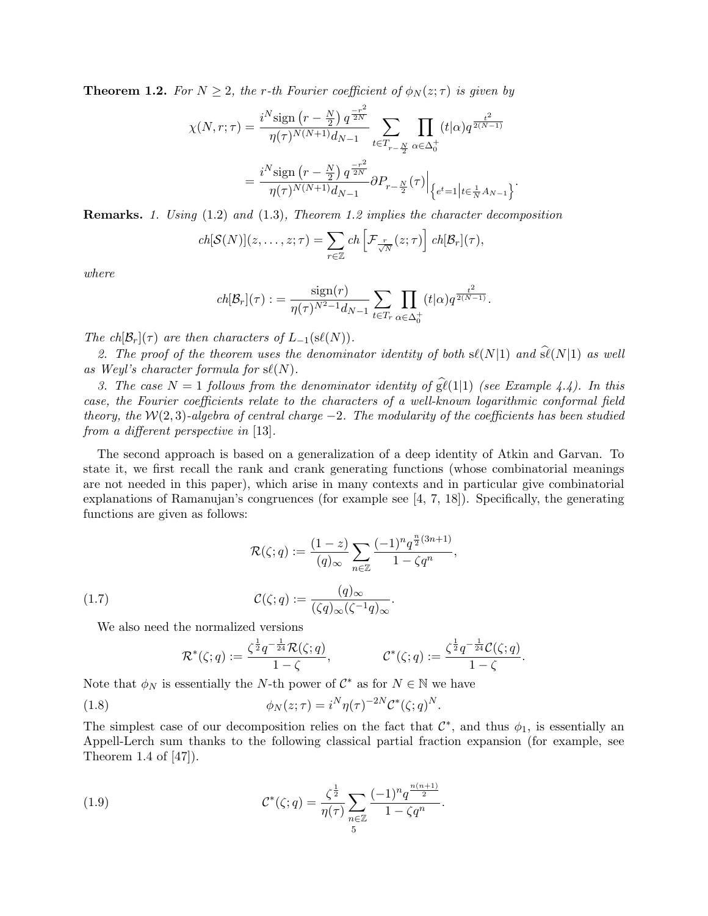**Theorem 1.2.** For  $N \geq 2$ , the r-th Fourier coefficient of  $\phi_N(z;\tau)$  is given by

$$
\chi(N,r;\tau) = \frac{i^N \text{sign}\left(r - \frac{N}{2}\right) q^{\frac{-r^2}{2N}}}{\eta(\tau)^{N(N+1)} d_{N-1}} \sum_{t \in T_{r - \frac{N}{2}}} \prod_{\alpha \in \Delta_0^+} (t|\alpha) q^{\frac{t^2}{2(N-1)}}
$$

$$
= \frac{i^N \text{sign}\left(r - \frac{N}{2}\right) q^{\frac{-r^2}{2N}}}{\eta(\tau)^{N(N+1)} d_{N-1}} \partial P_{r - \frac{N}{2}}(\tau) \Big|_{\left\{e^t = 1\middle|t \in \frac{1}{N} A_{N-1}\right\}}.
$$

Remarks. 1. Using (1.2) and (1.3), Theorem 1.2 implies the character decomposition

$$
ch[\mathcal{S}(N)](z,\ldots,z;\tau)=\sum_{r\in\mathbb{Z}}ch\left[\mathcal{F}_{\frac{r}{\sqrt{N}}}(z;\tau)\right]ch[\mathcal{B}_r](\tau),
$$

where

$$
ch[\mathcal{B}_r](\tau) := \frac{\text{sign}(r)}{\eta(\tau)^{N^2 - 1} d_{N - 1}} \sum_{t \in T_r} \prod_{\alpha \in \Delta_0^+} (t|\alpha) q^{\frac{t^2}{2(N - 1)}}.
$$

The ch $[\mathcal{B}_r](\tau)$  are then characters of  $L_{-1}(s\ell(N))$ .

2. The proof of the theorem uses the denominator identity of both  $s\ell(N|1)$  and  $\widehat{s\ell}(N|1)$  as well as Weyl's character formula for  $s\ell(N)$ .

3. The case  $N = 1$  follows from the denominator identity of  $\hat{gl}(1|1)$  (see Example 4.4). In this case, the Fourier coefficients relate to the characters of a well-known logarithmic conformal field theory, the W(2,3)-algebra of central charge  $-2$ . The modularity of the coefficients has been studied from a different perspective in [13].

The second approach is based on a generalization of a deep identity of Atkin and Garvan. To state it, we first recall the rank and crank generating functions (whose combinatorial meanings are not needed in this paper), which arise in many contexts and in particular give combinatorial explanations of Ramanujan's congruences (for example see  $[4, 7, 18]$ ). Specifically, the generating functions are given as follows:

,

(1.7) 
$$
\mathcal{R}(\zeta;q) := \frac{(1-z)}{(q)_{\infty}} \sum_{n \in \mathbb{Z}} \frac{(-1)^n q^{\frac{n}{2}(3n+1)}}{1 - \zeta q^n}
$$

$$
\mathcal{C}(\zeta;q) := \frac{(q)_{\infty}}{(\zeta q)_{\infty}(\zeta^{-1}q)_{\infty}}.
$$

We also need the normalized versions

$$
\mathcal{R}^*(\zeta;q):=\frac{\zeta^{\frac{1}{2}}q^{-\frac{1}{24}}\mathcal{R}(\zeta;q)}{1-\zeta},\qquad \qquad \mathcal{C}^*(\zeta;q):=\frac{\zeta^{\frac{1}{2}}q^{-\frac{1}{24}}\mathcal{C}(\zeta;q)}{1-\zeta}.
$$

Note that  $\phi_N$  is essentially the N-th power of  $\mathcal{C}^*$  as for  $N \in \mathbb{N}$  we have

(1.8) 
$$
\phi_N(z;\tau) = i^N \eta(\tau)^{-2N} \mathcal{C}^*(\zeta;q)^N.
$$

The simplest case of our decomposition relies on the fact that  $\mathcal{C}^*$ , and thus  $\phi_1$ , is essentially an Appell-Lerch sum thanks to the following classical partial fraction expansion (for example, see Theorem 1.4 of [47]).

(1.9) 
$$
\mathcal{C}^*(\zeta;q) = \frac{\zeta^{\frac{1}{2}}}{\eta(\tau)} \sum_{n \in \mathbb{Z}} \frac{(-1)^n q^{\frac{n(n+1)}{2}}}{1 - \zeta q^n}.
$$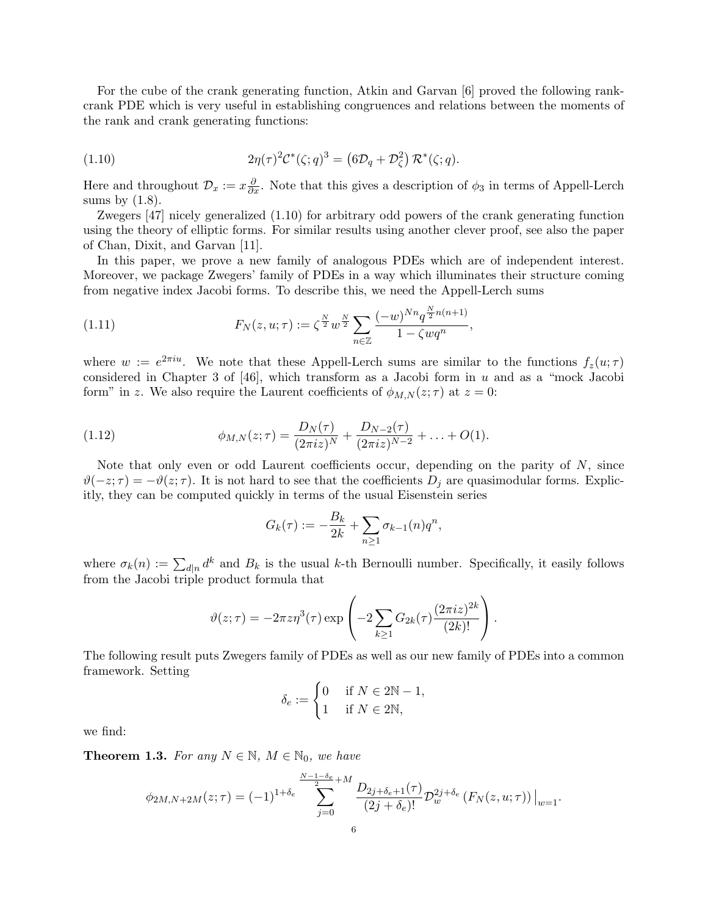For the cube of the crank generating function, Atkin and Garvan [6] proved the following rankcrank PDE which is very useful in establishing congruences and relations between the moments of the rank and crank generating functions:

(1.10) 
$$
2\eta(\tau)^2 \mathcal{C}^*(\zeta;q)^3 = \left(6\mathcal{D}_q + \mathcal{D}_\zeta^2\right) \mathcal{R}^*(\zeta;q).
$$

Here and throughout  $\mathcal{D}_x := x \frac{\partial}{\partial x}$ . Note that this gives a description of  $\phi_3$  in terms of Appell-Lerch sums by  $(1.8)$ .

Zwegers [47] nicely generalized (1.10) for arbitrary odd powers of the crank generating function using the theory of elliptic forms. For similar results using another clever proof, see also the paper of Chan, Dixit, and Garvan [11].

In this paper, we prove a new family of analogous PDEs which are of independent interest. Moreover, we package Zwegers' family of PDEs in a way which illuminates their structure coming from negative index Jacobi forms. To describe this, we need the Appell-Lerch sums

(1.11) 
$$
F_N(z, u; \tau) := \zeta^{\frac{N}{2}} w^{\frac{N}{2}} \sum_{n \in \mathbb{Z}} \frac{(-w)^{Nn} q^{\frac{N}{2} n(n+1)}}{1 - \zeta w q^n},
$$

where  $w := e^{2\pi i u}$ . We note that these Appell-Lerch sums are similar to the functions  $f_z(u;\tau)$ considered in Chapter 3 of  $[46]$ , which transform as a Jacobi form in u and as a "mock Jacobi form" in z. We also require the Laurent coefficients of  $\phi_{M,N}(z;\tau)$  at  $z=0$ :

(1.12) 
$$
\phi_{M,N}(z;\tau) = \frac{D_N(\tau)}{(2\pi i z)^N} + \frac{D_{N-2}(\tau)}{(2\pi i z)^{N-2}} + \ldots + O(1).
$$

Note that only even or odd Laurent coefficients occur, depending on the parity of  $N$ , since  $\vartheta(-z;\tau) = -\vartheta(z;\tau)$ . It is not hard to see that the coefficients  $D_i$  are quasimodular forms. Explicitly, they can be computed quickly in terms of the usual Eisenstein series

$$
G_k(\tau) := -\frac{B_k}{2k} + \sum_{n \ge 1} \sigma_{k-1}(n) q^n,
$$

where  $\sigma_k(n) := \sum_{d|n} d^k$  and  $B_k$  is the usual k-th Bernoulli number. Specifically, it easily follows from the Jacobi triple product formula that

$$
\vartheta(z;\tau) = -2\pi z \eta^{3}(\tau) \exp\left(-2\sum_{k\geq 1} G_{2k}(\tau) \frac{(2\pi i z)^{2k}}{(2k)!}\right).
$$

The following result puts Zwegers family of PDEs as well as our new family of PDEs into a common framework. Setting

$$
\delta_e := \begin{cases} 0 & \text{if } N \in 2\mathbb{N} - 1, \\ 1 & \text{if } N \in 2\mathbb{N}, \end{cases}
$$

we find:

**Theorem 1.3.** For any  $N \in \mathbb{N}$ ,  $M \in \mathbb{N}_0$ , we have

$$
\phi_{2M,N+2M}(z;\tau) = (-1)^{1+\delta_e} \sum_{j=0}^{\frac{N-1-\delta_e}{2}+M} \frac{D_{2j+\delta_e+1}(\tau)}{(2j+\delta_e)!} \mathcal{D}_w^{2j+\delta_e} \left(F_N(z,u;\tau)\right)\Big|_{w=1}.
$$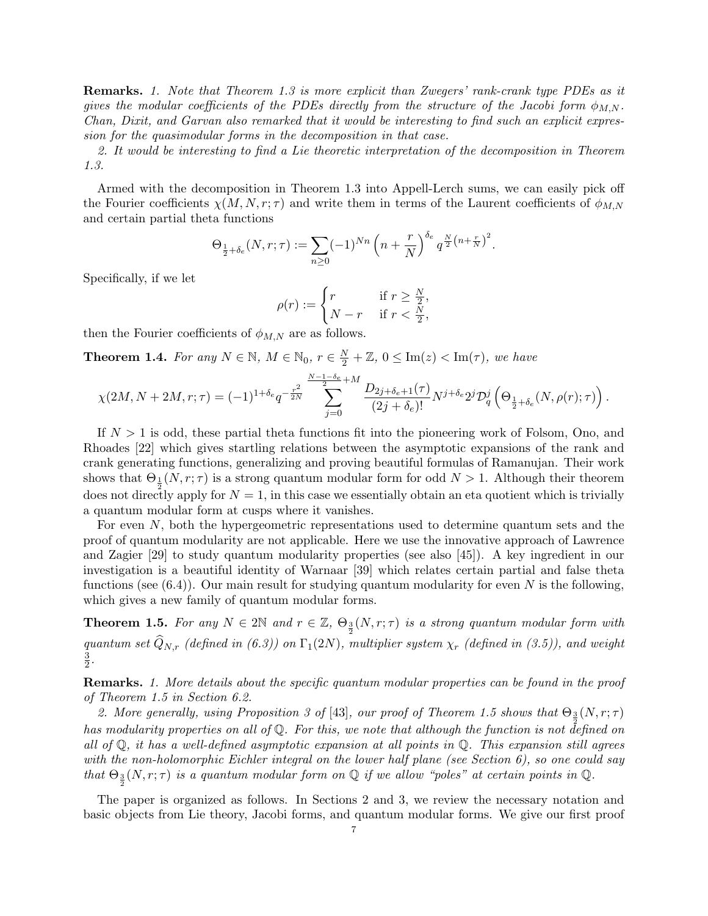Remarks. 1. Note that Theorem 1.3 is more explicit than Zwegers' rank-crank type PDEs as it gives the modular coefficients of the PDEs directly from the structure of the Jacobi form  $\phi_{MN}$ . Chan, Dixit, and Garvan also remarked that it would be interesting to find such an explicit expression for the quasimodular forms in the decomposition in that case.

2. It would be interesting to find a Lie theoretic interpretation of the decomposition in Theorem 1.3.

Armed with the decomposition in Theorem 1.3 into Appell-Lerch sums, we can easily pick off the Fourier coefficients  $\chi(M, N, r; \tau)$  and write them in terms of the Laurent coefficients of  $\phi_{M,N}$ and certain partial theta functions

$$
\Theta_{\frac{1}{2}+\delta_e}(N,r;\tau) := \sum_{n\geq 0} (-1)^{Nn} \left(n + \frac{r}{N}\right)^{\delta_e} q^{\frac{N}{2}\left(n + \frac{r}{N}\right)^2}.
$$

Specifically, if we let

$$
\rho(r) := \begin{cases} r & \text{if } r \ge \frac{N}{2}, \\ N - r & \text{if } r < \frac{N}{2}, \end{cases}
$$

then the Fourier coefficients of  $\phi_{M,N}$  are as follows.

**Theorem 1.4.** For any  $N \in \mathbb{N}$ ,  $M \in \mathbb{N}_0$ ,  $r \in \frac{N}{2} + \mathbb{Z}$ ,  $0 \leq \text{Im}(z) < \text{Im}(\tau)$ , we have

$$
\chi(2M, N+2M, r; \tau) = (-1)^{1+\delta_e} q^{-\frac{r^2}{2N}} \sum_{j=0}^{\frac{N-1-\delta_e}{2}} \frac{D_{2j+\delta_e+1}(\tau)}{(2j+\delta_e)!} N^{j+\delta_e} 2^j \mathcal{D}_q^j \left(\Theta_{\frac{1}{2}+\delta_e}(N, \rho(r); \tau)\right).
$$

If  $N > 1$  is odd, these partial theta functions fit into the pioneering work of Folsom, Ono, and Rhoades [22] which gives startling relations between the asymptotic expansions of the rank and crank generating functions, generalizing and proving beautiful formulas of Ramanujan. Their work shows that  $\Theta_1(N,r;\tau)$  is a strong quantum modular form for odd  $N > 1$ . Although their theorem does not directly apply for  $N = 1$ , in this case we essentially obtain an eta quotient which is trivially a quantum modular form at cusps where it vanishes.

For even N, both the hypergeometric representations used to determine quantum sets and the proof of quantum modularity are not applicable. Here we use the innovative approach of Lawrence and Zagier [29] to study quantum modularity properties (see also [45]). A key ingredient in our investigation is a beautiful identity of Warnaar [39] which relates certain partial and false theta functions (see  $(6.4)$ ). Our main result for studying quantum modularity for even N is the following, which gives a new family of quantum modular forms.

**Theorem 1.5.** For any  $N \in 2\mathbb{N}$  and  $r \in \mathbb{Z}$ ,  $\Theta_{\frac{3}{2}}(N,r;\tau)$  is a strong quantum modular form with quantum set  $\widehat{Q}_{N,r}$  (defined in (6.3)) on  $\Gamma_1(2N)$ , multiplier system  $\chi_r$  (defined in (3.5)), and weight 3  $\frac{3}{2}$ .

Remarks. 1. More details about the specific quantum modular properties can be found in the proof of Theorem 1.5 in Section 6.2.

2. More generally, using Proposition 3 of [43], our proof of Theorem 1.5 shows that  $\Theta_{\frac{3}{2}}(N,r;\tau)$ has modularity properties on all of Q. For this, we note that although the function is not defined on all of  $\mathbb Q$ , it has a well-defined asymptotic expansion at all points in  $\mathbb Q$ . This expansion still agrees with the non-holomorphic Eichler integral on the lower half plane (see Section 6), so one could say that  $\Theta_{\frac{3}{2}}(N,r;\tau)$  is a quantum modular form on  $\mathbb Q$  if we allow "poles" at certain points in  $\mathbb Q$ .

The paper is organized as follows. In Sections 2 and 3, we review the necessary notation and basic objects from Lie theory, Jacobi forms, and quantum modular forms. We give our first proof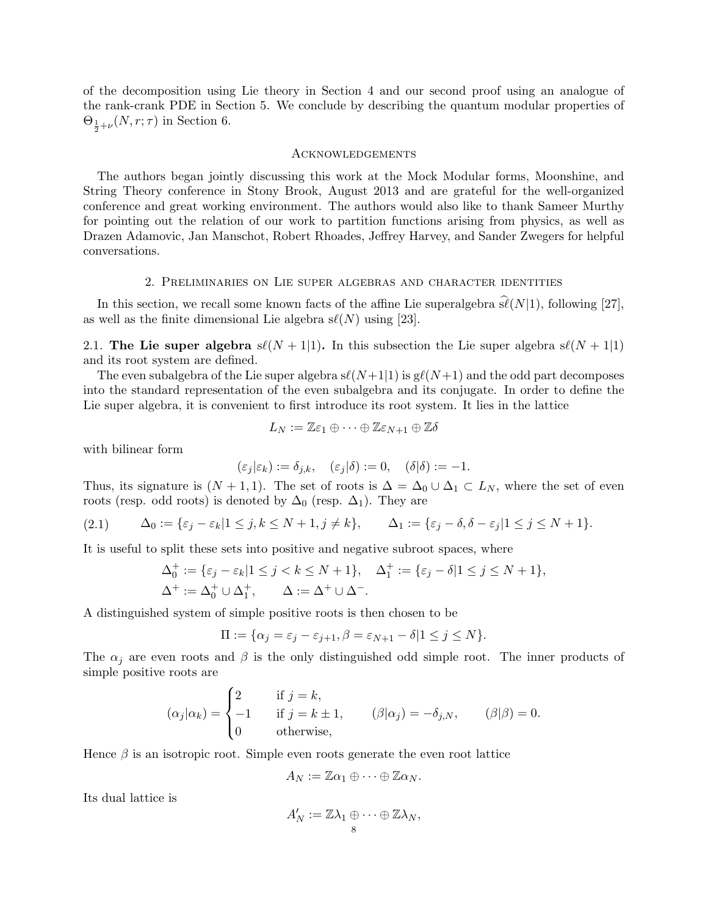of the decomposition using Lie theory in Section 4 and our second proof using an analogue of the rank-crank PDE in Section 5. We conclude by describing the quantum modular properties of  $\Theta_{\frac{1}{2}+\nu}(N,r;\tau)$  in Section 6.

### Acknowledgements

The authors began jointly discussing this work at the Mock Modular forms, Moonshine, and String Theory conference in Stony Brook, August 2013 and are grateful for the well-organized conference and great working environment. The authors would also like to thank Sameer Murthy for pointing out the relation of our work to partition functions arising from physics, as well as Drazen Adamovic, Jan Manschot, Robert Rhoades, Jeffrey Harvey, and Sander Zwegers for helpful conversations.

## 2. Preliminaries on Lie super algebras and character identities

In this section, we recall some known facts of the affine Lie superalgebra  $\hat{\mathfrak{sl}}(N|1)$ , following [27], as well as the finite dimensional Lie algebra  $s\ell(N)$  using [23].

2.1. The Lie super algebra  $s\ell(N + 1|1)$ . In this subsection the Lie super algebra  $s\ell(N + 1|1)$ and its root system are defined.

The even subalgebra of the Lie super algebra  $s\ell(N+1|1)$  is  $g\ell(N+1)$  and the odd part decomposes into the standard representation of the even subalgebra and its conjugate. In order to define the Lie super algebra, it is convenient to first introduce its root system. It lies in the lattice

$$
L_N:=\mathbb{Z}\varepsilon_1\oplus\cdots\oplus\mathbb{Z}\varepsilon_{N+1}\oplus\mathbb{Z}\delta
$$

with bilinear form

$$
(\varepsilon_j|\varepsilon_k) := \delta_{j,k}, \quad (\varepsilon_j|\delta) := 0, \quad (\delta|\delta) := -1.
$$

Thus, its signature is  $(N + 1, 1)$ . The set of roots is  $\Delta = \Delta_0 \cup \Delta_1 \subset L_N$ , where the set of even roots (resp. odd roots) is denoted by  $\Delta_0$  (resp.  $\Delta_1$ ). They are

$$
(2.1) \qquad \Delta_0 := \{\varepsilon_j - \varepsilon_k | 1 \le j, k \le N+1, j \ne k\}, \qquad \Delta_1 := \{\varepsilon_j - \delta, \delta - \varepsilon_j | 1 \le j \le N+1\}.
$$

It is useful to split these sets into positive and negative subroot spaces, where

$$
\Delta_0^+ := \{ \varepsilon_j - \varepsilon_k | 1 \le j < k \le N + 1 \}, \quad \Delta_1^+ := \{ \varepsilon_j - \delta | 1 \le j \le N + 1 \},
$$
\n
$$
\Delta^+ := \Delta_0^+ \cup \Delta_1^+, \qquad \Delta := \Delta^+ \cup \Delta^-.
$$

A distinguished system of simple positive roots is then chosen to be

$$
\Pi := \{ \alpha_j = \varepsilon_j - \varepsilon_{j+1}, \beta = \varepsilon_{N+1} - \delta | 1 \le j \le N \}.
$$

The  $\alpha_j$  are even roots and  $\beta$  is the only distinguished odd simple root. The inner products of simple positive roots are

$$
(\alpha_j|\alpha_k) = \begin{cases} 2 & \text{if } j = k, \\ -1 & \text{if } j = k \pm 1, \\ 0 & \text{otherwise,} \end{cases} \qquad (\beta|\alpha_j) = -\delta_{j,N}, \qquad (\beta|\beta) = 0.
$$

Hence  $\beta$  is an isotropic root. Simple even roots generate the even root lattice

$$
A_N := \mathbb{Z}\alpha_1 \oplus \cdots \oplus \mathbb{Z}\alpha_N.
$$

Its dual lattice is

$$
A'_N := \mathbb{Z}\lambda_1 \oplus \cdots \oplus \mathbb{Z}\lambda_N,
$$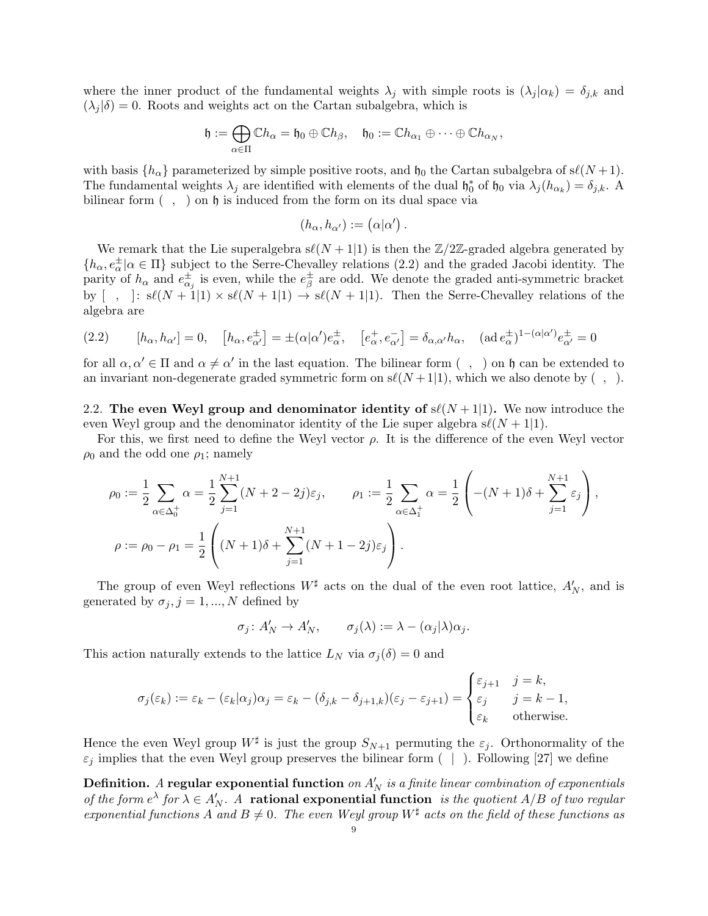where the inner product of the fundamental weights  $\lambda_j$  with simple roots is  $(\lambda_j | \alpha_k) = \delta_{j,k}$  and  $(\lambda_j|\delta) = 0$ . Roots and weights act on the Cartan subalgebra, which is

$$
\mathfrak{h}:=\bigoplus_{\alpha\in\Pi}\mathbb{C} h_\alpha=\mathfrak{h}_0\oplus\mathbb{C} h_\beta,\quad \mathfrak{h}_0:=\mathbb{C} h_{\alpha_1}\oplus\cdots\oplus\mathbb{C} h_{\alpha_N},
$$

with basis  $\{h_{\alpha}\}\$  parameterized by simple positive roots, and  $\mathfrak{h}_0$  the Cartan subalgebra of  $s\ell(N+1)$ . The fundamental weights  $\lambda_j$  are identified with elements of the dual  $\mathfrak{h}_0^*$  of  $\mathfrak{h}_0$  via  $\lambda_j(h_{\alpha_k}) = \delta_{j,k}$ . A bilinear form  $( , )$  on  $\mathfrak h$  is induced from the form on its dual space via

$$
(h_{\alpha}, h_{\alpha'}) := (\alpha | \alpha') .
$$

We remark that the Lie superalgebra  $s\ell(N + 1|1)$  is then the  $\mathbb{Z}/2\mathbb{Z}$ -graded algebra generated by  $\{h_{\alpha}, e_{\alpha}^{\pm} | \alpha \in \Pi\}$  subject to the Serre-Chevalley relations (2.2) and the graded Jacobi identity. The parity of  $h_{\alpha}$  and  $e_{\alpha_j}^{\pm}$  is even, while the  $e_{\beta}^{\pm}$  $\frac{\pm}{\beta}$  are odd. We denote the graded anti-symmetric bracket by  $\left[\begin{array}{c} , \\ \end{array}\right]$ :  $s\ell(N + 1|1) \times s\ell(N + 1|1) \rightarrow s\ell(N + 1|1)$ . Then the Serre-Chevalley relations of the algebra are

$$
(2.2) \qquad [h_{\alpha}, h_{\alpha'}] = 0, \quad [h_{\alpha}, e^{\pm}_{\alpha'}] = \pm (\alpha|\alpha')e^{\pm}_{\alpha}, \quad [e^+_{\alpha}, e^-_{\alpha'}] = \delta_{\alpha,\alpha'}h_{\alpha}, \quad (\text{ad } e^{\pm}_{\alpha})^{1-(\alpha|\alpha')}e^{\pm}_{\alpha'} = 0
$$

for all  $\alpha, \alpha' \in \Pi$  and  $\alpha \neq \alpha'$  in the last equation. The bilinear form  $( , )$  on  $\mathfrak h$  can be extended to an invariant non-degenerate graded symmetric form on  $s\ell(N+1|1)$ , which we also denote by  $( , )$ .

2.2. The even Weyl group and denominator identity of  $s\ell(N + 1|1)$ . We now introduce the even Weyl group and the denominator identity of the Lie super algebra  $s\ell(N + 1|1)$ .

For this, we first need to define the Weyl vector  $\rho$ . It is the difference of the even Weyl vector  $\rho_0$  and the odd one  $\rho_1$ ; namely

$$
\rho_0 := \frac{1}{2} \sum_{\alpha \in \Delta_0^+} \alpha = \frac{1}{2} \sum_{j=1}^{N+1} (N+2-2j)\varepsilon_j, \qquad \rho_1 := \frac{1}{2} \sum_{\alpha \in \Delta_1^+} \alpha = \frac{1}{2} \left( -(N+1)\delta + \sum_{j=1}^{N+1} \varepsilon_j \right),
$$
  

$$
\rho := \rho_0 - \rho_1 = \frac{1}{2} \left( (N+1)\delta + \sum_{j=1}^{N+1} (N+1-2j)\varepsilon_j \right).
$$

The group of even Weyl reflections  $W^{\sharp}$  acts on the dual of the even root lattice,  $A'_{N}$ , and is generated by  $\sigma_j$ ,  $j = 1, ..., N$  defined by

$$
\sigma_j \colon A'_N \to A'_N, \qquad \sigma_j(\lambda) := \lambda - (\alpha_j|\lambda)\alpha_j.
$$

This action naturally extends to the lattice  $L_N$  via  $\sigma_i(\delta) = 0$  and

$$
\sigma_j(\varepsilon_k) := \varepsilon_k - (\varepsilon_k | \alpha_j) \alpha_j = \varepsilon_k - (\delta_{j,k} - \delta_{j+1,k})(\varepsilon_j - \varepsilon_{j+1}) = \begin{cases} \varepsilon_{j+1} & j = k, \\ \varepsilon_j & j = k - 1, \\ \varepsilon_k & \text{otherwise.} \end{cases}
$$

Hence the even Weyl group  $W^{\sharp}$  is just the group  $S_{N+1}$  permuting the  $\varepsilon_j$ . Orthonormality of the  $\varepsilon_j$  implies that the even Weyl group preserves the bilinear form ( | ). Following [27] we define

Definition. A regular exponential function on  $A'_N$  is a finite linear combination of exponentials of the form  $e^{\lambda}$  for  $\lambda \in A'_{N}$ . A **rational exponential function** is the quotient  $A/B$  of two regular exponential functions A and  $B \neq 0$ . The even Weyl group  $W^{\sharp}$  acts on the field of these functions as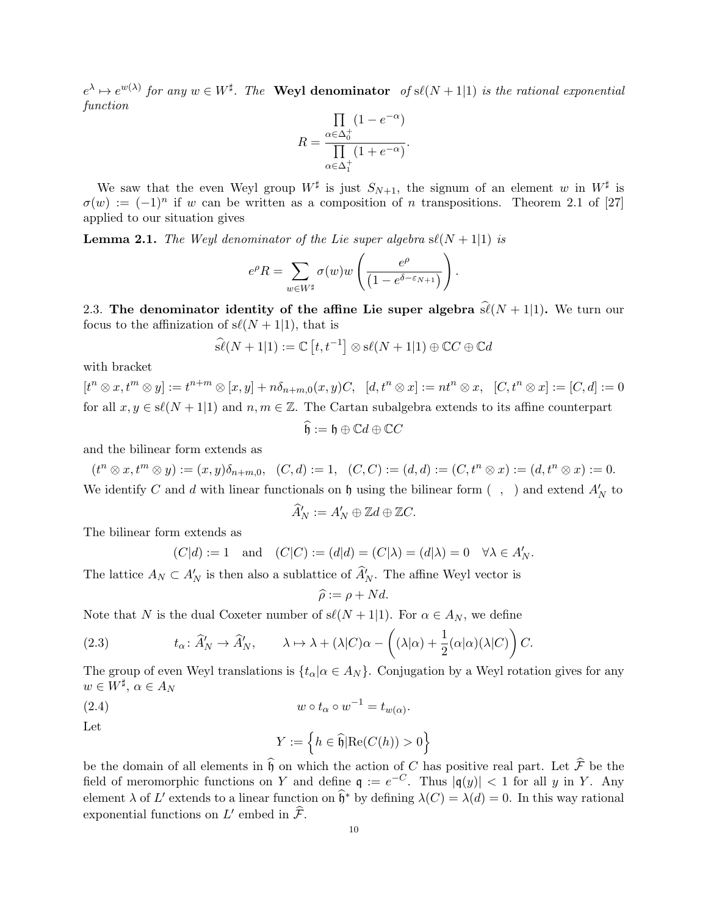$e^{\lambda} \mapsto e^{w(\lambda)}$  for any  $w \in W^{\sharp}$ . The Weyl denominator of  $s\ell(N+1|1)$  is the rational exponential function

$$
R = \frac{\prod_{\alpha \in \Delta_0^+} (1 - e^{-\alpha})}{\prod_{\alpha \in \Delta_1^+} (1 + e^{-\alpha})}.
$$

We saw that the even Weyl group  $W^{\sharp}$  is just  $S_{N+1}$ , the signum of an element w in  $W^{\sharp}$  is  $\sigma(w) := (-1)^n$  if w can be written as a composition of n transpositions. Theorem 2.1 of [27] applied to our situation gives

**Lemma 2.1.** The Weyl denominator of the Lie super algebra  $s\ell(N + 1|1)$  is

$$
e^{\rho}R = \sum_{w \in W^{\sharp}} \sigma(w)w\left(\frac{e^{\rho}}{(1 - e^{\delta - \varepsilon_{N+1}})}\right).
$$

2.3. The denominator identity of the affine Lie super algebra  $\hat{\mathfrak{sl}}(N + 1|1)$ . We turn our focus to the affinization of  $s\ell(N + 1|1)$ , that is

$$
\widehat{\mathfrak{s\ell}}(N+1|1) := \mathbb{C}\left[t, t^{-1}\right] \otimes \mathfrak{s\ell}(N+1|1) \oplus \mathbb{C}C \oplus \mathbb{C}d
$$

with bracket

 $[t^{n} \otimes x, t^{m} \otimes y] := t^{n+m} \otimes [x, y] + n \delta_{n+m,0}(x, y)C, \quad [d, t^{n} \otimes x] := nt^{n} \otimes x, \quad [C, t^{n} \otimes x] := [C, d] := 0$ for all  $x, y \in s\ell(N + 1|1)$  and  $n, m \in \mathbb{Z}$ . The Cartan subalgebra extends to its affine counterpart

$$
\widehat{\mathfrak{h}} := \mathfrak{h} \oplus \mathbb{C}d \oplus \mathbb{C}C
$$

and the bilinear form extends as

 $(t^n \otimes x, t^m \otimes y) := (x, y)\delta_{n+m,0}, \quad (C, d) := 1, \quad (C, C) := (d, d) := (C, t^n \otimes x) := (d, t^n \otimes x) := 0.$ We identify C and d with linear functionals on  $\mathfrak h$  using the bilinear form  $( , )$  and extend  $A'_N$  to

$$
\widehat{A}'_N := A'_N \oplus \mathbb{Z}d \oplus \mathbb{Z}C.
$$

The bilinear form extends as

$$
(C|d) := 1
$$
 and  $(C|C) := (d|d) = (C|\lambda) = (d|\lambda) = 0$   $\forall \lambda \in A'_N$ .

The lattice  $A_N \subset A'_N$  is then also a sublattice of  $\widehat{A}'_N$ . The affine Weyl vector is

$$
\widehat{\rho} := \rho + Nd.
$$

Note that N is the dual Coxeter number of  $s\ell(N + 1|1)$ . For  $\alpha \in A_N$ , we define

(2.3) 
$$
t_{\alpha} \colon \widehat{A}'_{N} \to \widehat{A}'_{N}, \qquad \lambda \mapsto \lambda + (\lambda | C) \alpha - \left( (\lambda | \alpha) + \frac{1}{2} (\alpha | \alpha) (\lambda | C) \right) C.
$$

The group of even Weyl translations is  $\{t_\alpha | \alpha \in A_N\}$ . Conjugation by a Weyl rotation gives for any  $w \in W^{\sharp}, \, \alpha \in A_N$ 

(2.4) 
$$
w \circ t_{\alpha} \circ w^{-1} = t_{w(\alpha)}.
$$

Let

$$
Y := \left\{ h \in \widehat{\mathfrak{h}} | \text{Re}(C(h)) > 0 \right\}
$$

be the domain of all elements in  $\hat{\mathfrak{h}}$  on which the action of C has positive real part. Let  $\hat{\mathcal{F}}$  be the field of meromorphic functions on Y and define  $\mathfrak{q} := e^{-C}$ . Thus  $|\mathfrak{q}(y)| < 1$  for all y in Y. Any element  $\lambda$  of L' extends to a linear function on  $\widehat{\mathfrak{h}}^*$  by defining  $\lambda(C) = \lambda(d) = 0$ . In this way rational exponential functions on  $L'$  embed in  $\widehat{\mathcal{F}}$ .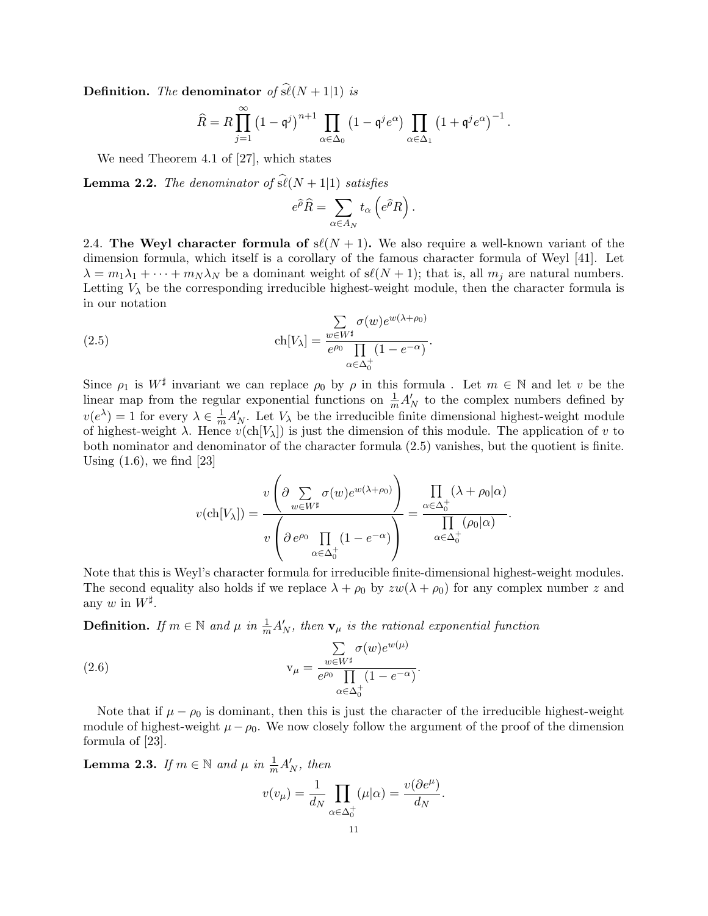**Definition.** The denominator of  $\widehat{\mathfrak{sl}}(N + 1|1)$  is

$$
\widehat{R} = R \prod_{j=1}^{\infty} \left(1 - \mathfrak{q}^j\right)^{n+1} \prod_{\alpha \in \Delta_0} \left(1 - \mathfrak{q}^j e^{\alpha}\right) \prod_{\alpha \in \Delta_1} \left(1 + \mathfrak{q}^j e^{\alpha}\right)^{-1}.
$$

We need Theorem 4.1 of [27], which states

**Lemma 2.2.** The denominator of  $\widehat{\mathfrak{sl}}(N + 1|1)$  satisfies

$$
e^{\widehat{\rho}}\widehat{R} = \sum_{\alpha \in A_N} t_{\alpha} \left( e^{\widehat{\rho}}R \right).
$$

2.4. The Weyl character formula of  $s\ell(N + 1)$ . We also require a well-known variant of the dimension formula, which itself is a corollary of the famous character formula of Weyl [41]. Let  $\lambda = m_1 \lambda_1 + \cdots + m_N \lambda_N$  be a dominant weight of  $s\ell(N + 1)$ ; that is, all  $m_j$  are natural numbers. Letting  $V_{\lambda}$  be the corresponding irreducible highest-weight module, then the character formula is in our notation

(2.5) 
$$
\operatorname{ch}[V_{\lambda}] = \frac{\sum_{w \in W^{\sharp}} \sigma(w) e^{w(\lambda + \rho_0)}}{e^{\rho_0} \prod_{\alpha \in \Delta_0^+} (1 - e^{-\alpha})}.
$$

Since  $\rho_1$  is  $W^{\sharp}$  invariant we can replace  $\rho_0$  by  $\rho$  in this formula. Let  $m \in \mathbb{N}$  and let v be the linear map from the regular exponential functions on  $\frac{1}{m}A'_{N}$  to the complex numbers defined by  $v(e^{\lambda}) = 1$  for every  $\lambda \in \frac{1}{m} A'_{N}$ . Let  $V_{\lambda}$  be the irreducible finite dimensional highest-weight module of highest-weight  $\lambda$ . Hence  $v(\text{ch}[V_{\lambda}])$  is just the dimension of this module. The application of v to both nominator and denominator of the character formula (2.5) vanishes, but the quotient is finite. Using  $(1.6)$ , we find  $[23]$ 

$$
v(\text{ch}[V_{\lambda}]) = \frac{v\left(\partial \sum_{w \in W^{\sharp}} \sigma(w)e^{w(\lambda+\rho_0)}\right)}{v\left(\partial e^{\rho_0} \prod_{\alpha \in \Delta_0^+} (1-e^{-\alpha})\right)} = \frac{\prod_{\alpha \in \Delta_0^+} (\lambda + \rho_0|\alpha)}{\prod_{\alpha \in \Delta_0^+} (\rho_0|\alpha)}.
$$

Note that this is Weyl's character formula for irreducible finite-dimensional highest-weight modules. The second equality also holds if we replace  $\lambda + \rho_0$  by  $zw(\lambda + \rho_0)$  for any complex number z and any w in  $W^{\sharp}$ .

**Definition.** If  $m \in \mathbb{N}$  and  $\mu$  in  $\frac{1}{m}A'_{N}$ , then  $\mathbf{v}_{\mu}$  is the rational exponential function

(2.6) 
$$
v_{\mu} = \frac{\sum_{w \in W^{\sharp}} \sigma(w) e^{w(\mu)}}{e^{\rho_0} \prod_{\alpha \in \Delta_0^+} (1 - e^{-\alpha})}.
$$

Note that if  $\mu - \rho_0$  is dominant, then this is just the character of the irreducible highest-weight module of highest-weight  $\mu - \rho_0$ . We now closely follow the argument of the proof of the dimension formula of [23].

**Lemma 2.3.** If  $m \in \mathbb{N}$  and  $\mu$  in  $\frac{1}{m}A'_{N}$ , then

$$
v(v_{\mu}) = \frac{1}{d_N} \prod_{\alpha \in \Delta_0^+} (\mu|\alpha) = \frac{v(\partial e^{\mu})}{d_N}.
$$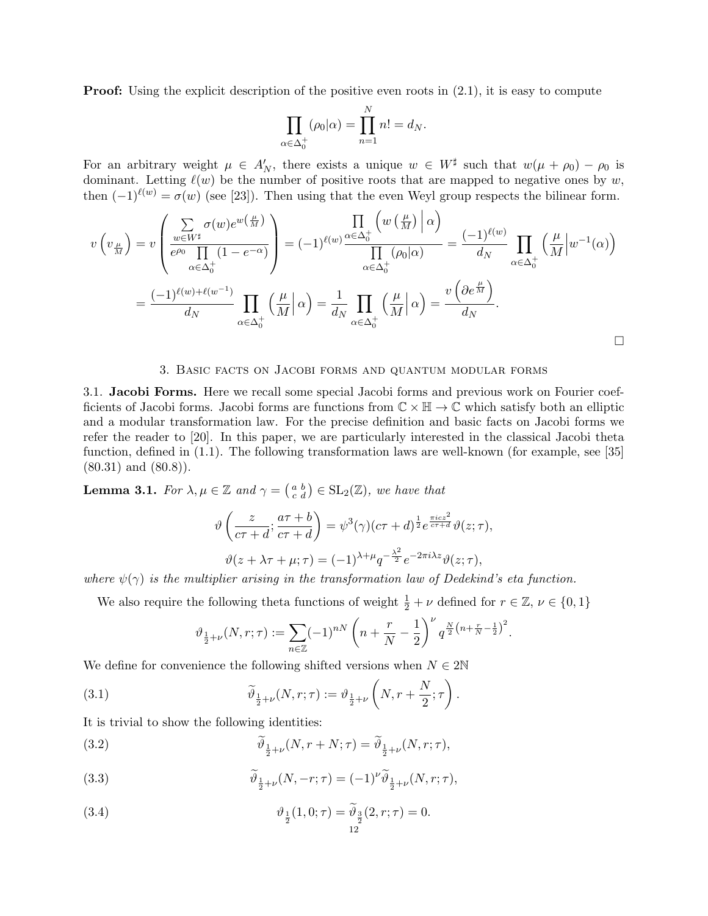**Proof:** Using the explicit description of the positive even roots in  $(2.1)$ , it is easy to compute

$$
\prod_{\alpha \in \Delta_0^+} (\rho_0|\alpha) = \prod_{n=1}^N n! = d_N.
$$

For an arbitrary weight  $\mu \in A'_N$ , there exists a unique  $w \in W^{\sharp}$  such that  $w(\mu + \rho_0) - \rho_0$  is dominant. Letting  $\ell(w)$  be the number of positive roots that are mapped to negative ones by w, then  $(-1)^{\ell(w)} = \sigma(w)$  (see [23]). Then using that the even Weyl group respects the bilinear form.

$$
v(v_{\frac{\mu}{M}}) = v\left(\frac{\sum_{w \in W^{\sharp}} \sigma(w)e^{w(\frac{\mu}{M})}}{e^{\rho_0} \prod_{\alpha \in \Delta_0^+} (1 - e^{-\alpha})}\right) = (-1)^{\ell(w)} \frac{\prod_{\alpha \in \Delta_0^+} \left( w(\frac{\mu}{M}) \right) \alpha}{\prod_{\alpha \in \Delta_0^+} (\rho_0|\alpha)} = \frac{(-1)^{\ell(w)}}{d_N} \prod_{\alpha \in \Delta_0^+} \left( \frac{\mu}{M} \right) w^{-1}(\alpha) \right)
$$

$$
= \frac{(-1)^{\ell(w) + \ell(w^{-1})}}{d_N} \prod_{\alpha \in \Delta_0^+} \left( \frac{\mu}{M} \right) \alpha = \frac{1}{d_N} \prod_{\alpha \in \Delta_0^+} \left( \frac{\mu}{M} \right) \alpha = \frac{v(\partial e^{\frac{\mu}{M}})}{d_N}.
$$

## 3. Basic facts on Jacobi forms and quantum modular forms

3.1. Jacobi Forms. Here we recall some special Jacobi forms and previous work on Fourier coefficients of Jacobi forms. Jacobi forms are functions from  $\mathbb{C} \times \mathbb{H} \to \mathbb{C}$  which satisfy both an elliptic and a modular transformation law. For the precise definition and basic facts on Jacobi forms we refer the reader to [20]. In this paper, we are particularly interested in the classical Jacobi theta function, defined in (1.1). The following transformation laws are well-known (for example, see [35]  $(80.31)$  and  $(80.8)$ .

**Lemma 3.1.** For  $\lambda, \mu \in \mathbb{Z}$  and  $\gamma = \begin{pmatrix} a & b \\ c & d \end{pmatrix} \in SL_2(\mathbb{Z})$ , we have that

$$
\vartheta\left(\frac{z}{c\tau+d};\frac{a\tau+b}{c\tau+d}\right) = \psi^3(\gamma)(c\tau+d)^{\frac{1}{2}}e^{\frac{\pi icz^2}{c\tau+d}}\vartheta(z;\tau),
$$

$$
\vartheta(z+\lambda\tau+\mu;\tau) = (-1)^{\lambda+\mu}q^{-\frac{\lambda^2}{2}}e^{-2\pi i\lambda z}\vartheta(z;\tau),
$$

where  $\psi(\gamma)$  is the multiplier arising in the transformation law of Dedekind's eta function.

We also require the following theta functions of weight  $\frac{1}{2} + \nu$  defined for  $r \in \mathbb{Z}$ ,  $\nu \in \{0, 1\}$ 

$$
\vartheta_{\frac{1}{2}+\nu}(N,r;\tau):=\sum_{n\in\mathbb{Z}}(-1)^{nN}\left(n+\frac{r}{N}-\frac{1}{2}\right)^{\nu}q^{\frac{N}{2}\left(n+\frac{r}{N}-\frac{1}{2}\right)^{2}}.
$$

We define for convenience the following shifted versions when  $N \in 2\mathbb{N}$ 

(3.1) 
$$
\widetilde{\vartheta}_{\frac{1}{2}+\nu}(N,r;\tau) := \vartheta_{\frac{1}{2}+\nu}\left(N,r+\frac{N}{2};\tau\right).
$$

It is trivial to show the following identities:

(3.2) 
$$
\widetilde{\vartheta}_{\frac{1}{2}+\nu}(N,r+N;\tau) = \widetilde{\vartheta}_{\frac{1}{2}+\nu}(N,r;\tau),
$$

(3.3) 
$$
\widetilde{\vartheta}_{\frac{1}{2}+\nu}(N,-r;\tau) = (-1)^{\nu} \widetilde{\vartheta}_{\frac{1}{2}+\nu}(N,r;\tau),
$$

(3.4) 
$$
\vartheta_{\frac{1}{2}}(1,0;\tau) = \widetilde{\vartheta}_{\frac{3}{2}}(2,r;\tau) = 0.
$$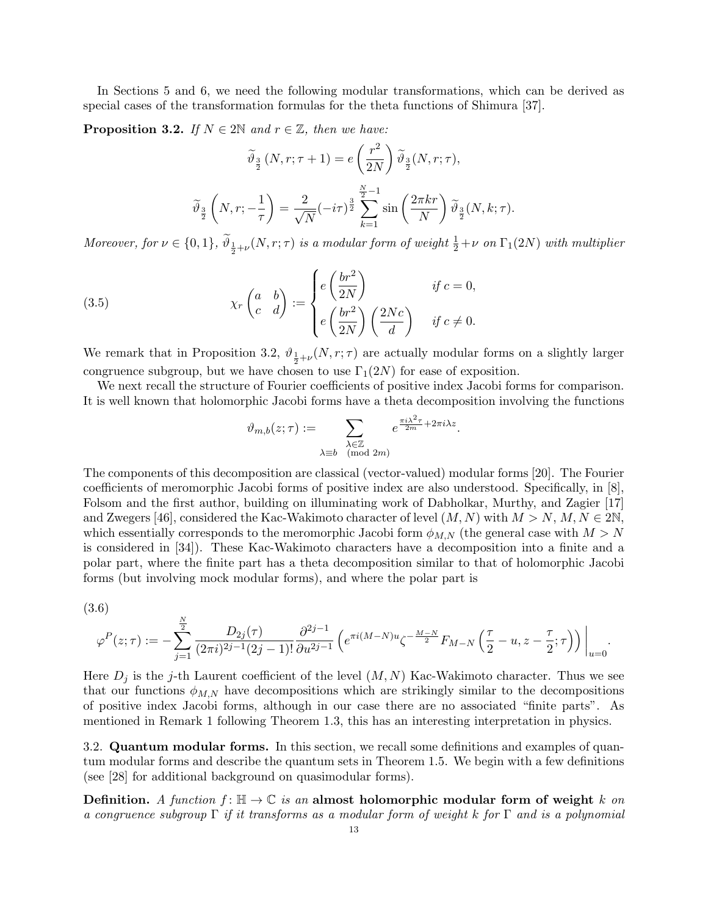In Sections 5 and 6, we need the following modular transformations, which can be derived as special cases of the transformation formulas for the theta functions of Shimura [37].

**Proposition 3.2.** If  $N \in 2\mathbb{N}$  and  $r \in \mathbb{Z}$ , then we have:

$$
\widetilde{\vartheta}_{\frac{3}{2}}(N,r;\tau+1) = e\left(\frac{r^2}{2N}\right)\widetilde{\vartheta}_{\frac{3}{2}}(N,r;\tau),
$$

$$
\widetilde{\vartheta}_{\frac{3}{2}}\left(N,r;-\frac{1}{\tau}\right) = \frac{2}{\sqrt{N}}(-i\tau)^{\frac{3}{2}}\sum_{k=1}^{\frac{N}{2}-1}\sin\left(\frac{2\pi kr}{N}\right)\widetilde{\vartheta}_{\frac{3}{2}}(N,k;\tau).
$$

Moreover, for  $\nu \in \{0,1\}$ ,  $\widetilde{\vartheta}_\frac{1}{2}+\nu(N,r;\tau)$  is a modular form of weight  $\frac{1}{2}+\nu$  on  $\Gamma_1(2N)$  with multiplier

(3.5) 
$$
\chi_r \begin{pmatrix} a & b \\ c & d \end{pmatrix} := \begin{cases} e \left( \frac{br^2}{2N} \right) & \text{if } c = 0, \\ e \left( \frac{br^2}{2N} \right) \left( \frac{2Nc}{d} \right) & \text{if } c \neq 0. \end{cases}
$$

We remark that in Proposition 3.2,  $\vartheta_{\frac{1}{2}+\nu}(N,r;\tau)$  are actually modular forms on a slightly larger congruence subgroup, but we have chosen to use  $\Gamma_1(2N)$  for ease of exposition.

We next recall the structure of Fourier coefficients of positive index Jacobi forms for comparison. It is well known that holomorphic Jacobi forms have a theta decomposition involving the functions

$$
\vartheta_{m,b}(z;\tau) := \sum_{\substack{\lambda \in \mathbb{Z} \\ \lambda \equiv b \pmod{2m}}} e^{\frac{\pi i \lambda^2 \tau}{2m} + 2\pi i \lambda z}.
$$

The components of this decomposition are classical (vector-valued) modular forms [20]. The Fourier coefficients of meromorphic Jacobi forms of positive index are also understood. Specifically, in [8], Folsom and the first author, building on illuminating work of Dabholkar, Murthy, and Zagier [17] and Zwegers [46], considered the Kac-Wakimoto character of level  $(M, N)$  with  $M > N, M, N \in 2\mathbb{N}$ , which essentially corresponds to the meromorphic Jacobi form  $\phi_{M,N}$  (the general case with  $M > N$ is considered in [34]). These Kac-Wakimoto characters have a decomposition into a finite and a polar part, where the finite part has a theta decomposition similar to that of holomorphic Jacobi forms (but involving mock modular forms), and where the polar part is

(3.6)

$$
\varphi^P(z;\tau):=-\sum_{j=1}^{\frac{N}{2}}\frac{D_{2j}(\tau)}{(2\pi i)^{2j-1}(2j-1)!}\frac{\partial^{2j-1}}{\partial u^{2j-1}}\left(e^{\pi i(M-N)u}\zeta^{-\frac{M-N}{2}}F_{M-N}\left(\frac{\tau}{2}-u,z-\frac{\tau}{2};\tau\right)\right)\bigg|_{u=0}.
$$

Here  $D_j$  is the j-th Laurent coefficient of the level  $(M, N)$  Kac-Wakimoto character. Thus we see that our functions  $\phi_{M,N}$  have decompositions which are strikingly similar to the decompositions of positive index Jacobi forms, although in our case there are no associated "finite parts". As mentioned in Remark 1 following Theorem 1.3, this has an interesting interpretation in physics.

3.2. Quantum modular forms. In this section, we recall some definitions and examples of quantum modular forms and describe the quantum sets in Theorem 1.5. We begin with a few definitions (see [28] for additional background on quasimodular forms).

Definition. A function  $f: \mathbb{H} \to \mathbb{C}$  is an almost holomorphic modular form of weight k on a congruence subgroup  $\Gamma$  if it transforms as a modular form of weight k for  $\Gamma$  and is a polynomial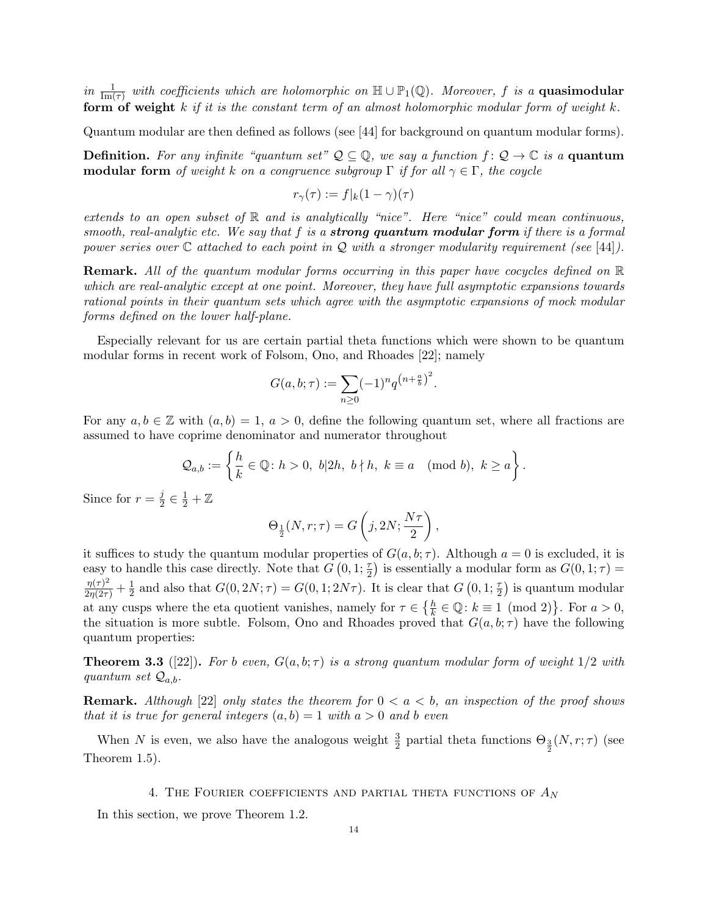in  $\frac{1}{\text{Im}(\tau)}$  with coefficients which are holomorphic on  $\mathbb{H} \cup \mathbb{P}_1(\mathbb{Q})$ . Moreover, f is a **quasimodular** form of weight  $k$  if it is the constant term of an almost holomorphic modular form of weight  $k$ .

Quantum modular are then defined as follows (see [44] for background on quantum modular forms).

**Definition.** For any infinite "quantum set"  $\mathcal{Q} \subseteq \mathbb{Q}$ , we say a function  $f: \mathcal{Q} \to \mathbb{C}$  is a **quantum modular form** of weight k on a congruence subgroup  $\Gamma$  if for all  $\gamma \in \Gamma$ , the coycle

$$
r_{\gamma}(\tau) := f|_{k}(1-\gamma)(\tau)
$$

extends to an open subset of  $\mathbb R$  and is analytically "nice". Here "nice" could mean continuous, smooth, real-analytic etc. We say that f is a **strong quantum modular form** if there is a formal power series over  $\mathbb C$  attached to each point in  $\mathcal Q$  with a stronger modularity requirement (see [44]).

Remark. All of the quantum modular forms occurring in this paper have cocycles defined on R which are real-analytic except at one point. Moreover, they have full asymptotic expansions towards rational points in their quantum sets which agree with the asymptotic expansions of mock modular forms defined on the lower half-plane.

Especially relevant for us are certain partial theta functions which were shown to be quantum modular forms in recent work of Folsom, Ono, and Rhoades [22]; namely

$$
G(a, b; \tau) := \sum_{n \ge 0} (-1)^n q^{(n + \frac{a}{b})^2}.
$$

For any  $a, b \in \mathbb{Z}$  with  $(a, b) = 1, a > 0$ , define the following quantum set, where all fractions are assumed to have coprime denominator and numerator throughout

$$
\mathcal{Q}_{a,b} := \left\{ \frac{h}{k} \in \mathbb{Q} \colon h > 0, \ b|2h, \ b \nmid h, \ k \equiv a \pmod{b}, \ k \geq a \right\}.
$$

Since for  $r=\frac{j}{2}$  $\frac{j}{2} \in \frac{1}{2} + \mathbb{Z}$ 

$$
\Theta_{\frac{1}{2}}(N,r;\tau) = G\left(j, 2N; \frac{N\tau}{2}\right),\,
$$

it suffices to study the quantum modular properties of  $G(a, b; \tau)$ . Although  $a = 0$  is excluded, it is easy to handle this case directly. Note that  $G(0,1;\frac{\tau}{2})$  is essentially a modular form as  $G(0,1;\tau)$  =  $\frac{\eta(\tau)^2}{2\eta(2\tau)} + \frac{1}{2}$  $\frac{1}{2}$  and also that  $G(0, 2N; \tau) = G(0, 1; 2N\tau)$ . It is clear that  $G(0, 1; \frac{\tau}{2})$  is quantum modular at any cusps where the eta quotient vanishes, namely for  $\tau \in \{\frac{h}{k} \in \mathbb{Q} : k \equiv 1 \pmod{2}\}$ . For  $a > 0$ , the situation is more subtle. Folsom, Ono and Rhoades proved that  $G(a, b; \tau)$  have the following quantum properties:

**Theorem 3.3** ([22]). For b even,  $G(a, b; \tau)$  is a strong quantum modular form of weight  $1/2$  with quantum set  $Q_{a,b}$ .

**Remark.** Although [22] only states the theorem for  $0 < a < b$ , an inspection of the proof shows that it is true for general integers  $(a, b) = 1$  with  $a > 0$  and b even

When N is even, we also have the analogous weight  $\frac{3}{2}$  partial theta functions  $\Theta_{\frac{3}{2}}(N,r;\tau)$  (see Theorem 1.5).

4. THE FOURIER COEFFICIENTS AND PARTIAL THETA FUNCTIONS OF  $A_N$ 

In this section, we prove Theorem 1.2.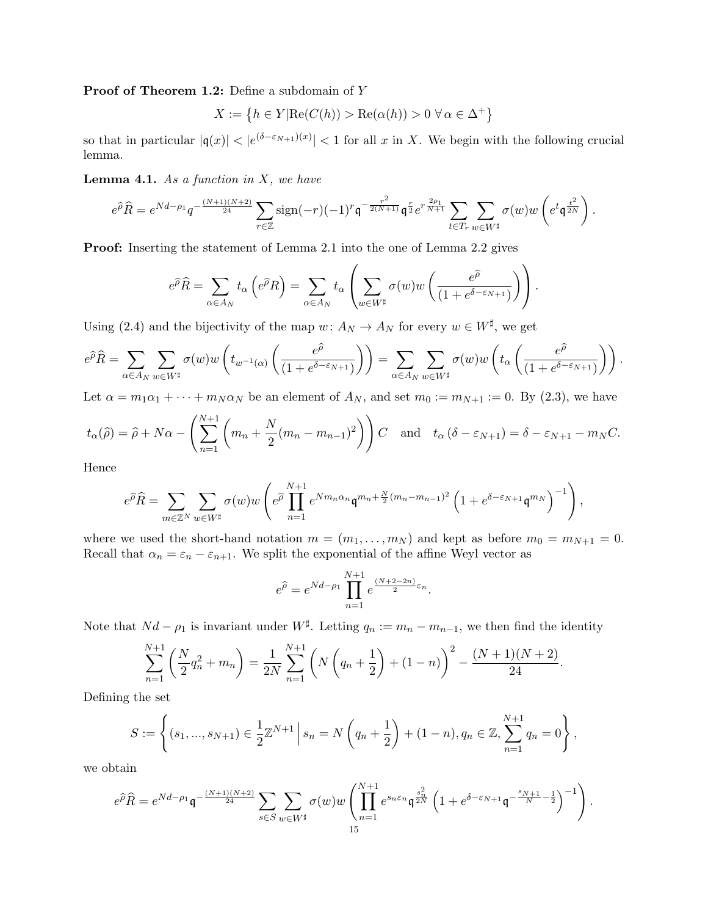Proof of Theorem 1.2: Define a subdomain of Y

$$
X := \left\{ h \in Y | \text{Re}(C(h)) > \text{Re}(\alpha(h)) > 0 \,\,\forall \,\alpha \in \Delta^+ \right\}
$$

so that in particular  $|q(x)| < |e^{(\delta - \varepsilon_{N+1})(x)}| < 1$  for all x in X. We begin with the following crucial lemma.

**Lemma 4.1.** As a function in  $X$ , we have

$$
e^{\widehat{\rho}}\widehat{R} = e^{Nd - \rho_1} q^{-\frac{(N+1)(N+2)}{24}} \sum_{r \in \mathbb{Z}} sign(-r)(-1)^r \mathfrak{q}^{-\frac{r^2}{2(N+1)}} \mathfrak{q}^{\frac{r}{2}} e^{r\frac{2\rho_1}{N+1}} \sum_{t \in T_r} \sum_{w \in W^{\sharp}} \sigma(w) w\left(e^t \mathfrak{q}^{\frac{t^2}{2N}}\right).
$$

Proof: Inserting the statement of Lemma 2.1 into the one of Lemma 2.2 gives

$$
e^{\widehat{\rho}}\widehat{R} = \sum_{\alpha \in A_N} t_{\alpha} \left(e^{\widehat{\rho}}R\right) = \sum_{\alpha \in A_N} t_{\alpha} \left(\sum_{w \in W^{\sharp}} \sigma(w)w\left(\frac{e^{\widehat{\rho}}}{(1 + e^{\delta - \varepsilon_{N+1}})}\right)\right).
$$

Using (2.4) and the bijectivity of the map  $w: A_N \to A_N$  for every  $w \in W^{\sharp}$ , we get

$$
e^{\widehat{\rho}}\widehat{R} = \sum_{\alpha \in A_N} \sum_{w \in W^{\sharp}} \sigma(w) w\left(t_{w^{-1}(\alpha)}\left(\frac{e^{\widehat{\rho}}}{(1 + e^{\delta - \varepsilon_{N+1}})}\right)\right) = \sum_{\alpha \in A_N} \sum_{w \in W^{\sharp}} \sigma(w) w\left(t_{\alpha}\left(\frac{e^{\widehat{\rho}}}{(1 + e^{\delta - \varepsilon_{N+1}})}\right)\right).
$$

Let  $\alpha = m_1 \alpha_1 + \cdots + m_N \alpha_N$  be an element of  $A_N$ , and set  $m_0 := m_{N+1} := 0$ . By (2.3), we have

$$
t_{\alpha}(\hat{\rho}) = \hat{\rho} + N\alpha - \left(\sum_{n=1}^{N+1} \left( m_n + \frac{N}{2} (m_n - m_{n-1})^2 \right) \right) C
$$
 and  $t_{\alpha} (\delta - \varepsilon_{N+1}) = \delta - \varepsilon_{N+1} - m_N C$ .

Hence

$$
e^{\widehat{\rho}}\widehat{R} = \sum_{m \in \mathbb{Z}^N} \sum_{w \in W^{\sharp}} \sigma(w)w \left(e^{\widehat{\rho}} \prod_{n=1}^{N+1} e^{Nm_n \alpha_n} \mathfrak{q}^{m_n + \frac{N}{2}(m_n - m_{n-1})^2} \left(1 + e^{\delta - \varepsilon_{N+1}} \mathfrak{q}^{m_N}\right)^{-1}\right),
$$

where we used the short-hand notation  $m = (m_1, \ldots, m_N)$  and kept as before  $m_0 = m_{N+1} = 0$ . Recall that  $\alpha_n = \varepsilon_n - \varepsilon_{n+1}$ . We split the exponential of the affine Weyl vector as

$$
e^{\widehat{\rho}} = e^{Nd - \rho_1} \prod_{n=1}^{N+1} e^{\frac{(N+2-2n)}{2}\varepsilon_n}.
$$

Note that  $Nd - \rho_1$  is invariant under  $W^{\sharp}$ . Letting  $q_n := m_n - m_{n-1}$ , we then find the identity

$$
\sum_{n=1}^{N+1} \left( \frac{N}{2} q_n^2 + m_n \right) = \frac{1}{2N} \sum_{n=1}^{N+1} \left( N \left( q_n + \frac{1}{2} \right) + (1 - n) \right)^2 - \frac{(N+1)(N+2)}{24}.
$$

Defining the set

$$
S := \left\{ (s_1, ..., s_{N+1}) \in \frac{1}{2} \mathbb{Z}^{N+1} \mid s_n = N \left( q_n + \frac{1}{2} \right) + (1 - n), q_n \in \mathbb{Z}, \sum_{n=1}^{N+1} q_n = 0 \right\},\
$$

we obtain

$$
e^{\widehat{\rho}}\widehat{R}=e^{Nd-\rho_1}\mathfrak{q}^{-\frac{(N+1)(N+2)}{24}}\sum_{s\in S}\sum_{w\in W^\sharp}\sigma(w)w\left(\prod_{n=1}^{N+1}e^{s_n\varepsilon_n}\mathfrak{q}^{\frac{s_n^2}{2N}}\left(1+e^{\delta-\varepsilon_{N+1}}\mathfrak{q}^{-\frac{s_{N+1}}{N}-\frac{1}{2}}\right)^{-1}\right).
$$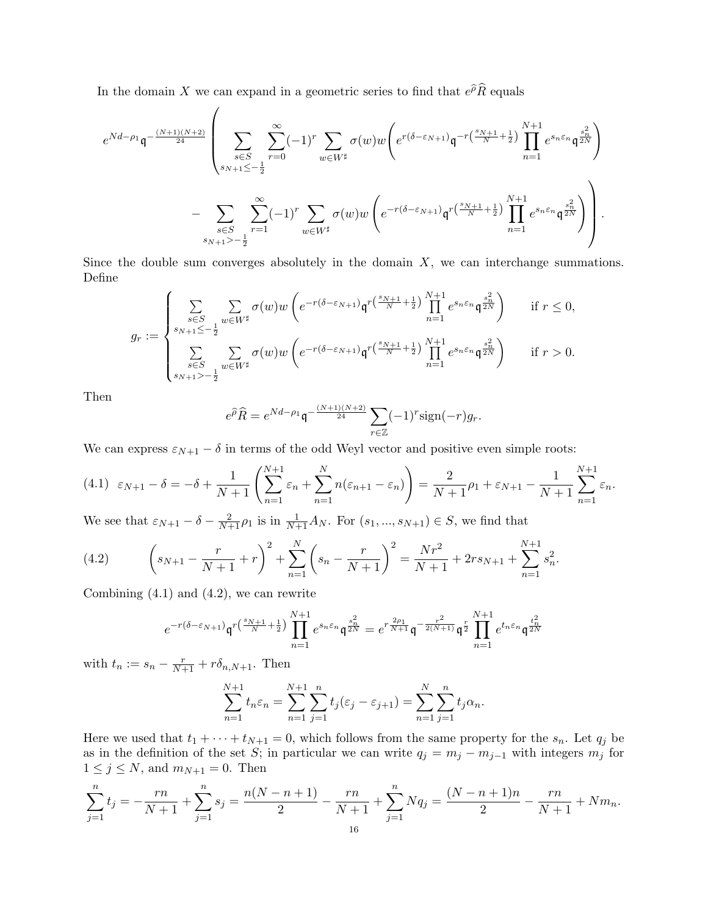In the domain X we can expand in a geometric series to find that  $e^{\hat{\rho}}\hat{R}$  equals

$$
\begin{split} e^{Nd-\rho_1}\mathfrak{q}^{-\frac{(N+1)(N+2)}{24}}\left(\sum_{\substack{s\in S\\s_{N+1}\leq -\frac12}}\sum_{r=0}^{\infty}(-1)^r\sum_{w\in W^\sharp}\sigma(w)w\left(e^{r(\delta-\varepsilon_{N+1})}\mathfrak{q}^{-r\left(\frac{s_N+1}{N}+\frac12\right)}\prod_{n=1}^{N+1}e^{s_n\varepsilon_n}\mathfrak{q}^{\frac{s_n^2}{2N}}\right)\\ &-\sum_{\substack{s\in S\\s_{N+1}>-\frac12}}\sum_{r=1}^{\infty}(-1)^r\sum_{w\in W^\sharp}\sigma(w)w\left(e^{-r(\delta-\varepsilon_{N+1})}\mathfrak{q}^{r\left(\frac{s_N+1}{N}+\frac12\right)}\prod_{n=1}^{N+1}e^{s_n\varepsilon_n}\mathfrak{q}^{\frac{s_n^2}{2N}}\right)\right). \end{split}
$$

Since the double sum converges absolutely in the domain  $X$ , we can interchange summations. Define

$$
g_r := \begin{cases} \sum_{s \in S} \sum_{w \in W^{\sharp}} \sigma(w) w \left( e^{-r(\delta - \varepsilon_{N+1})} \mathfrak{q}^{r\left(\frac{s_{N+1}}{N} + \frac{1}{2}\right)} \prod_{n=1}^{N+1} e^{s_n \varepsilon_n} \mathfrak{q}^{\frac{s_n^2}{2N}} \right) & \text{if } r \le 0, \\ \sum_{s \in S} \sum_{w \in W^{\sharp}} \sigma(w) w \left( e^{-r(\delta - \varepsilon_{N+1})} \mathfrak{q}^{r\left(\frac{s_{N+1}}{N} + \frac{1}{2}\right)} \prod_{n=1}^{N+1} e^{s_n \varepsilon_n} \mathfrak{q}^{\frac{s_n^2}{2N}} \right) & \text{if } r > 0. \end{cases}
$$

Then

$$
e^{\widehat{\rho}}\widehat{R} = e^{Nd - \rho_1} \mathfrak{q}^{-\frac{(N+1)(N+2)}{24}} \sum_{r \in \mathbb{Z}} (-1)^r \text{sign}(-r) g_r.
$$

We can express  $\varepsilon_{N+1} - \delta$  in terms of the odd Weyl vector and positive even simple roots:

$$
(4.1) \ \ \varepsilon_{N+1} - \delta = -\delta + \frac{1}{N+1} \left( \sum_{n=1}^{N+1} \varepsilon_n + \sum_{n=1}^{N} n(\varepsilon_{n+1} - \varepsilon_n) \right) = \frac{2}{N+1} \rho_1 + \varepsilon_{N+1} - \frac{1}{N+1} \sum_{n=1}^{N+1} \varepsilon_n.
$$

We see that  $\varepsilon_{N+1} - \delta - \frac{2}{N+1}\rho_1$  is in  $\frac{1}{N+1}A_N$ . For  $(s_1, ..., s_{N+1}) \in S$ , we find that

(4.2) 
$$
\left(s_{N+1} - \frac{r}{N+1} + r\right)^2 + \sum_{n=1}^{N} \left(s_n - \frac{r}{N+1}\right)^2 = \frac{Nr^2}{N+1} + 2rs_{N+1} + \sum_{n=1}^{N+1} s_n^2.
$$

Combining (4.1) and (4.2), we can rewrite

$$
e^{-r(\delta-\varepsilon_{N+1})}\mathfrak{q}^{r\left(\frac{s_{N+1}}{N}+\frac{1}{2}\right)}\prod_{n=1}^{N+1}e^{s_{n}\varepsilon_{n}}\mathfrak{q}^{\frac{s_{n}^{2}}{2N}}=e^{r\frac{2\rho_{1}}{N+1}}\mathfrak{q}^{-\frac{r^{2}}{2(N+1)}}\mathfrak{q}^{\frac{r}{2}}\prod_{n=1}^{N+1}e^{t_{n}\varepsilon_{n}}\mathfrak{q}^{\frac{t_{n}^{2}}{2N}}
$$

with  $t_n := s_n - \frac{r}{N+1} + r\delta_{n,N+1}$ . Then

$$
\sum_{n=1}^{N+1} t_n \varepsilon_n = \sum_{n=1}^{N+1} \sum_{j=1}^n t_j (\varepsilon_j - \varepsilon_{j+1}) = \sum_{n=1}^{N} \sum_{j=1}^n t_j \alpha_n.
$$

Here we used that  $t_1 + \cdots + t_{N+1} = 0$ , which follows from the same property for the  $s_n$ . Let  $q_j$  be as in the definition of the set S; in particular we can write  $q_j = m_j - m_{j-1}$  with integers  $m_j$  for  $1 \leq j \leq N$ , and  $m_{N+1} = 0$ . Then

$$
\sum_{j=1}^{n} t_j = -\frac{rn}{N+1} + \sum_{j=1}^{n} s_j = \frac{n(N-n+1)}{2} - \frac{rn}{N+1} + \sum_{j=1}^{n} Nq_j = \frac{(N-n+1)n}{2} - \frac{rn}{N+1} + Nm_n.
$$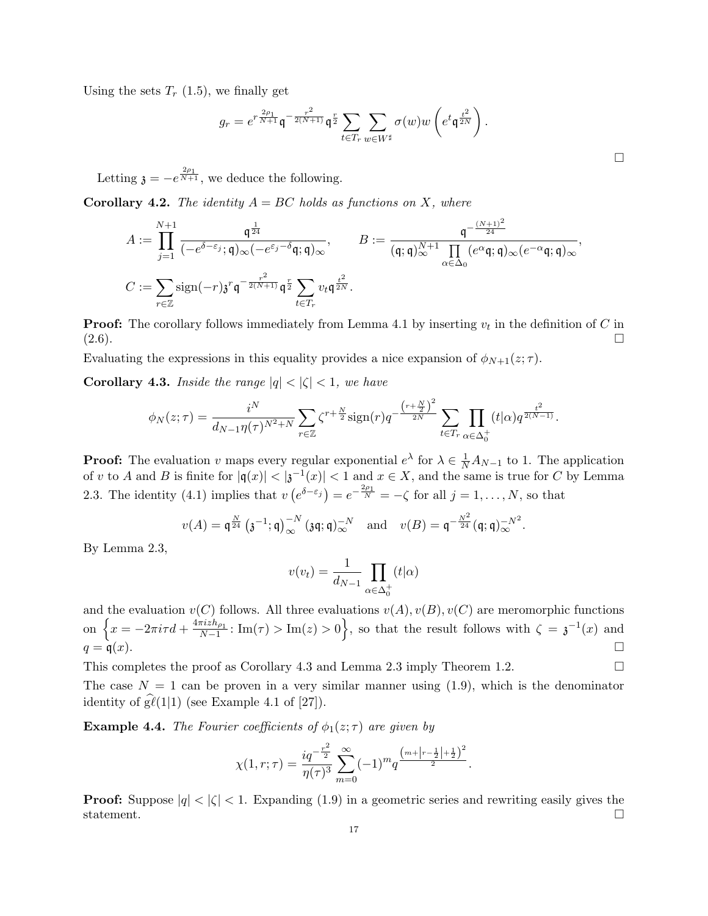Using the sets  $T_r$  (1.5), we finally get

$$
g_r = e^{r \frac{2\rho_1}{N+1}} \mathfrak{q}^{-\frac{r^2}{2(N+1)}} \mathfrak{q}^{\frac{r}{2}} \sum_{t \in T_r} \sum_{w \in W^{\sharp}} \sigma(w) w\left(e^t \mathfrak{q}^{\frac{t^2}{2N}}\right).
$$

Letting  $\mathfrak{z} = -e^{\frac{2\rho_1}{N+1}}$ , we deduce the following.

**Corollary 4.2.** The identity  $A = BC$  holds as functions on X, where

$$
A := \prod_{j=1}^{N+1} \frac{\mathfrak{q}^{\frac{1}{24}}}{(-e^{\delta-\varepsilon_j}; \mathfrak{q})_{\infty}(-e^{\varepsilon_j-\delta}\mathfrak{q}; \mathfrak{q})_{\infty}}, \qquad B := \frac{\mathfrak{q}^{-\frac{(N+1)^2}{24}}}{(\mathfrak{q}; \mathfrak{q})_{\infty}^{N+1} \prod_{\alpha \in \Delta_0} (e^{\alpha} \mathfrak{q}; \mathfrak{q})_{\infty} (e^{-\alpha} \mathfrak{q}; \mathfrak{q})_{\infty}},
$$
  

$$
C := \sum_{r \in \mathbb{Z}} \text{sign}(-r) \mathfrak{z}^r \mathfrak{q}^{-\frac{r^2}{2(N+1)}} \mathfrak{q}^{\frac{r}{2}} \sum_{t \in T_r} v_t \mathfrak{q}^{\frac{t^2}{2N}}.
$$

**Proof:** The corollary follows immediately from Lemma 4.1 by inserting  $v_t$  in the definition of C in  $(2.6)$ .

Evaluating the expressions in this equality provides a nice expansion of  $\phi_{N+1}(z;\tau)$ .

**Corollary 4.3.** Inside the range  $|q| < |\zeta| < 1$ , we have

$$
\phi_N(z;\tau) = \frac{i^N}{d_{N-1}\eta(\tau)^{N^2+N}} \sum_{r \in \mathbb{Z}} \zeta^{r+\frac{N}{2}} \text{sign}(r) q^{-\frac{\left(r+\frac{N}{2}\right)^2}{2N}} \sum_{t \in T_r} \prod_{\alpha \in \Delta_0^+} (t|\alpha) q^{\frac{t^2}{2(N-1)}}.
$$

**Proof:** The evaluation v maps every regular exponential  $e^{\lambda}$  for  $\lambda \in \frac{1}{N}A_{N-1}$  to 1. The application of v to A and B is finite for  $|q(x)| < |3^{-1}(x)| < 1$  and  $x \in X$ , and the same is true for C by Lemma 2.3. The identity (4.1) implies that  $v(e^{\delta-\epsilon_j}) = e^{-\frac{2\rho_1}{N}} = -\zeta$  for all  $j = 1, \ldots, N$ , so that

$$
v(A) = \mathfrak{q}^{\frac{N}{24}} (\mathfrak{z}^{-1}; \mathfrak{q})_{\infty}^{-N} (\mathfrak{z}\mathfrak{q}; \mathfrak{q})_{\infty}^{-N} \text{ and } v(B) = \mathfrak{q}^{-\frac{N^2}{24}} (\mathfrak{q}; \mathfrak{q})_{\infty}^{-N^2}.
$$

By Lemma 2.3,

$$
v(v_t) = \frac{1}{d_{N-1}} \prod_{\alpha \in \Delta_0^+} (t|\alpha)
$$

and the evaluation  $v(C)$  follows. All three evaluations  $v(A), v(B), v(C)$  are meromorphic functions on  $\left\{x = -2\pi i \tau d + \frac{4\pi i z h_{\rho_1}}{N-1} : \text{Im}(\tau) > \text{Im}(z) > 0\right\}$ , so that the result follows with  $\zeta = \mathfrak{z}^{-1}(x)$  and  $q = \mathfrak{q}(x).$ 

This completes the proof as Corollary 4.3 and Lemma 2.3 imply Theorem 1.2.  $\Box$ 

The case  $N = 1$  can be proven in a very similar manner using  $(1.9)$ , which is the denominator identity of  $g\ell(1|1)$  (see Example 4.1 of [27]).

**Example 4.4.** The Fourier coefficients of  $\phi_1(z;\tau)$  are given by

$$
\chi(1,r;\tau) = \frac{iq^{-\frac{r^2}{2}}}{\eta(\tau)^3} \sum_{m=0}^{\infty} (-1)^m q^{\frac{\left(m+\left|r-\frac{1}{2}\right|+\frac{1}{2}\right)^2}{2}}.
$$

**Proof:** Suppose  $|q| < |\zeta| < 1$ . Expanding (1.9) in a geometric series and rewriting easily gives the statement.  $\square$ 

 $\Box$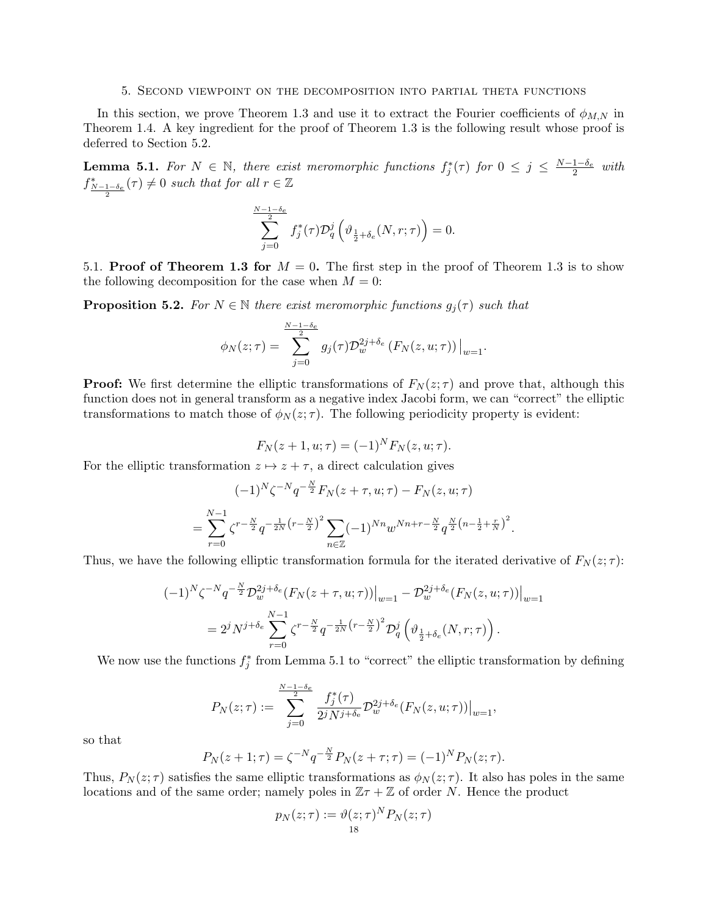#### 5. Second viewpoint on the decomposition into partial theta functions

In this section, we prove Theorem 1.3 and use it to extract the Fourier coefficients of  $\phi_{M,N}$  in Theorem 1.4. A key ingredient for the proof of Theorem 1.3 is the following result whose proof is deferred to Section 5.2.

**Lemma 5.1.** For  $N \in \mathbb{N}$ , there exist meromorphic functions  $f_j^*(\tau)$  for  $0 \leq j \leq \frac{N-1-\delta_e}{2}$  with  $f_{\frac{N-1-\delta_e}{2}}^*(\tau) \neq 0$  such that for all  $r \in \mathbb{Z}$ 

$$
\sum_{j=0}^{\frac{N-1-\delta_e}{2}} f_j^*(\tau) \mathcal{D}_q^j \left( \vartheta_{\frac{1}{2} + \delta_e}(N, r; \tau) \right) = 0.
$$

5.1. Proof of Theorem 1.3 for  $M = 0$ . The first step in the proof of Theorem 1.3 is to show the following decomposition for the case when  $M = 0$ :

**Proposition 5.2.** For  $N \in \mathbb{N}$  there exist meromorphic functions  $g_j(\tau)$  such that

$$
\phi_N(z;\tau) = \sum_{j=0}^{\frac{N-1-\delta_e}{2}} g_j(\tau) \mathcal{D}_w^{2j+\delta_e} \left( F_N(z,u;\tau) \right) \big|_{w=1}.
$$

**Proof:** We first determine the elliptic transformations of  $F_N(z;\tau)$  and prove that, although this function does not in general transform as a negative index Jacobi form, we can "correct" the elliptic transformations to match those of  $\phi_N(z;\tau)$ . The following periodicity property is evident:

$$
F_N(z + 1, u; \tau) = (-1)^N F_N(z, u; \tau).
$$

For the elliptic transformation  $z \mapsto z + \tau$ , a direct calculation gives

$$
(-1)^N \zeta^{-N} q^{-\frac{N}{2}} F_N(z + \tau, u; \tau) - F_N(z, u; \tau)
$$
  
= 
$$
\sum_{r=0}^{N-1} \zeta^{r-\frac{N}{2}} q^{-\frac{1}{2N} (r-\frac{N}{2})^2} \sum_{n \in \mathbb{Z}} (-1)^{Nn} w^{Nn+r-\frac{N}{2}} q^{\frac{N}{2} (n-\frac{1}{2}+\frac{r}{N})^2}.
$$

Thus, we have the following elliptic transformation formula for the iterated derivative of  $F_N(z;\tau)$ :

$$
\begin{split} (-1)^N \zeta^{-N} q^{-\frac{N}{2}} \mathcal{D}_w^{2j+\delta_e} (F_N(z+\tau, u; \tau)) \Big|_{w=1} &- \mathcal{D}_w^{2j+\delta_e} (F_N(z, u; \tau)) \Big|_{w=1} \\ &= 2^j N^{j+\delta_e} \sum_{r=0}^{N-1} \zeta^{r-\frac{N}{2}} q^{-\frac{1}{2N} \left(r-\frac{N}{2}\right)^2} \mathcal{D}_q^j \left(\vartheta_{\frac{1}{2}+\delta_e}(N, r; \tau)\right). \end{split}
$$

We now use the functions  $f_j^*$  from Lemma 5.1 to "correct" the elliptic transformation by defining

$$
P_N(z;\tau):=\sum_{j=0}^{\frac{N-1-\delta_e}{2}}\frac{f_j^*(\tau)}{2^jN^{j+\delta_e}}{\mathcal{D}_w^{2j+\delta_e}}(F_N(z,u;\tau))\big|_{w=1},
$$

so that

$$
P_N(z + 1; \tau) = \zeta^{-N} q^{-\frac{N}{2}} P_N(z + \tau; \tau) = (-1)^N P_N(z; \tau).
$$

Thus,  $P_N(z;\tau)$  satisfies the same elliptic transformations as  $\phi_N(z;\tau)$ . It also has poles in the same locations and of the same order; namely poles in  $\mathbb{Z} \tau + \mathbb{Z}$  of order N. Hence the product

$$
p_N(z;\tau) := \vartheta(z;\tau)^N P_N(z;\tau)
$$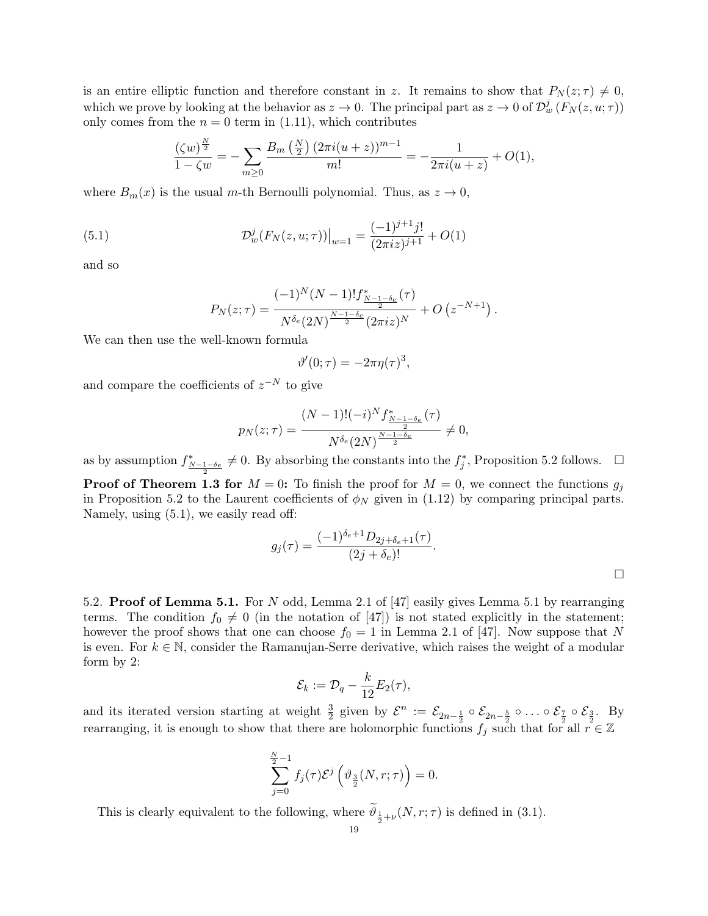is an entire elliptic function and therefore constant in z. It remains to show that  $P_N(z;\tau) \neq 0$ , which we prove by looking at the behavior as  $z \to 0$ . The principal part as  $z \to 0$  of  $\mathcal{D}^j_w(F_N(z, u; \tau))$ only comes from the  $n = 0$  term in (1.11), which contributes

$$
\frac{(\zeta w)^{\frac{N}{2}}}{1-\zeta w} = -\sum_{m\geq 0} \frac{B_m\left(\frac{N}{2}\right)(2\pi i(u+z))^{m-1}}{m!} = -\frac{1}{2\pi i(u+z)} + O(1),
$$

where  $B_m(x)$  is the usual m-th Bernoulli polynomial. Thus, as  $z \to 0$ ,

(5.1) 
$$
\mathcal{D}_{w}^{j}(F_{N}(z, u; \tau))\big|_{w=1} = \frac{(-1)^{j+1}j!}{(2\pi i z)^{j+1}} + O(1)
$$

and so

$$
P_N(z;\tau) = \frac{(-1)^N (N-1)! f_{\frac{N-1-\delta_e}{2}}^*(\tau)}{N^{\delta_e}(2N)^{\frac{N-1-\delta_e}{2}} (2\pi i z)^N} + O\left(z^{-N+1}\right).
$$

We can then use the well-known formula

$$
\vartheta'(0;\tau) = -2\pi\eta(\tau)^3,
$$

and compare the coefficients of  $z^{-N}$  to give

$$
p_N(z;\tau) = \frac{(N-1)!(-i)^N f_{\frac{N-1-\delta_e}{2}}^*(\tau)}{N^{\delta_e}(2N)^{\frac{N-1-\delta_e}{2}}} \neq 0,
$$

as by assumption  $f_{\frac{N-1-\delta_e}{2}}^* \neq 0$ . By absorbing the constants into the  $f_j^*$ , Proposition 5.2 follows.  $\Box$ **Proof of Theorem 1.3 for**  $M = 0$ : To finish the proof for  $M = 0$ , we connect the functions  $g_j$ in Proposition 5.2 to the Laurent coefficients of  $\phi_N$  given in (1.12) by comparing principal parts. Namely, using (5.1), we easily read off:

$$
g_j(\tau) = \frac{(-1)^{\delta_e + 1} D_{2j + \delta_e + 1}(\tau)}{(2j + \delta_e)!}.
$$

5.2. **Proof of Lemma 5.1.** For N odd, Lemma 2.1 of [47] easily gives Lemma 5.1 by rearranging terms. The condition  $f_0 \neq 0$  (in the notation of [47]) is not stated explicitly in the statement; however the proof shows that one can choose  $f_0 = 1$  in Lemma 2.1 of [47]. Now suppose that N is even. For  $k \in \mathbb{N}$ , consider the Ramanujan-Serre derivative, which raises the weight of a modular form by 2:

$$
\mathcal{E}_k := \mathcal{D}_q - \frac{k}{12} E_2(\tau),
$$

and its iterated version starting at weight  $\frac{3}{2}$  given by  $\mathcal{E}^n := \mathcal{E}_{2n-\frac{1}{2}} \circ \mathcal{E}_{2n-\frac{5}{2}} \circ \ldots \circ \mathcal{E}_{\frac{7}{2}} \circ \mathcal{E}_{\frac{3}{2}}$ . By rearranging, it is enough to show that there are holomorphic functions  $f_j$  such that for all  $r \in \mathbb{Z}$ 

$$
\sum_{j=0}^{\frac{N}{2}-1} f_j(\tau) \mathcal{E}^j \left( \vartheta_{\frac{3}{2}}(N,\tau;\tau) \right) = 0.
$$

This is clearly equivalent to the following, where  $\vartheta_{\frac{1}{2}+\nu}(N,r;\tau)$  is defined in (3.1).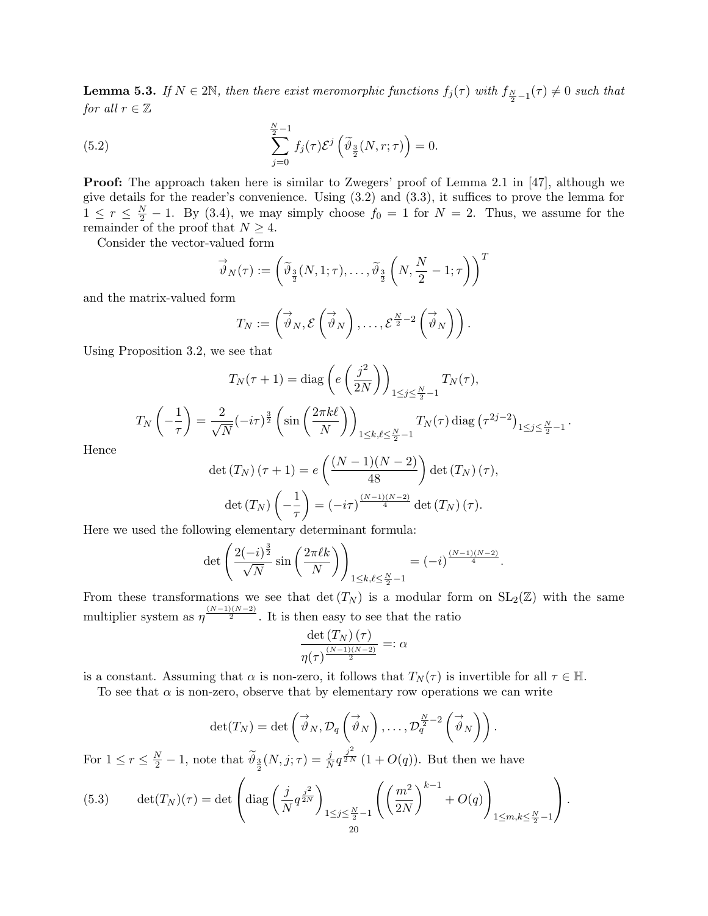**Lemma 5.3.** If  $N \in 2\mathbb{N}$ , then there exist meromorphic functions  $f_j(\tau)$  with  $f_{\frac{N}{2}-1}(\tau) \neq 0$  such that for all  $r \in \mathbb{Z}$ 

(5.2) 
$$
\sum_{j=0}^{\frac{N}{2}-1} f_j(\tau) \mathcal{E}^j \left( \widetilde{\vartheta}_{\frac{3}{2}}(N,\tau;\tau) \right) = 0.
$$

**Proof:** The approach taken here is similar to Zwegers' proof of Lemma 2.1 in [47], although we give details for the reader's convenience. Using (3.2) and (3.3), it suffices to prove the lemma for  $1 \leq r \leq \frac{N}{2} - 1$ . By (3.4), we may simply choose  $f_0 = 1$  for  $N = 2$ . Thus, we assume for the remainder of the proof that  $N \geq 4$ .

Consider the vector-valued form

$$
\vec{\vartheta}_N(\tau) := \left(\widetilde{\vartheta}_{\frac{3}{2}}(N, 1; \tau), \dots, \widetilde{\vartheta}_{\frac{3}{2}}\left(N, \frac{N}{2} - 1; \tau\right)\right)^T
$$

and the matrix-valued form

$$
T_N := \left( \overrightarrow{\vartheta}_N, \mathcal{E} \left( \overrightarrow{\vartheta}_N \right), \ldots, \mathcal{E}^{\frac{N}{2}-2} \left( \overrightarrow{\vartheta}_N \right) \right).
$$

Using Proposition 3.2, we see that

$$
T_N(\tau+1) = \text{diag}\left(e\left(\frac{j^2}{2N}\right)\right)_{1 \le j \le \frac{N}{2}-1} T_N(\tau),
$$

$$
T_N\left(-\frac{1}{\tau}\right) = \frac{2}{\sqrt{N}}(-i\tau)^{\frac{3}{2}} \left(\sin\left(\frac{2\pi k\ell}{N}\right)\right)_{1 \le k,\ell \le \frac{N}{2}-1} T_N(\tau) \text{ diag}\left(\tau^{2j-2}\right)_{1 \le j \le \frac{N}{2}-1}
$$

.

Hence

$$
\det(T_N)(\tau+1) = e\left(\frac{(N-1)(N-2)}{48}\right) \det(T_N)(\tau),
$$

$$
\det(T_N)\left(-\frac{1}{\tau}\right) = (-i\tau)^{\frac{(N-1)(N-2)}{4}} \det(T_N)(\tau).
$$

Here we used the following elementary determinant formula:

$$
\det\left(\frac{2(-i)^{\frac{3}{2}}}{\sqrt{N}}\sin\left(\frac{2\pi\ell k}{N}\right)\right)_{1\leq k,\ell\leq \frac{N}{2}-1} = (-i)^{\frac{(N-1)(N-2)}{4}}.
$$

From these transformations we see that  $\det(T_N)$  is a modular form on  $SL_2(\mathbb{Z})$  with the same multiplier system as  $\eta^{\frac{(N-1)(N-2)}{2}}$ . It is then easy to see that the ratio

$$
\frac{\det(T_N)(\tau)}{\eta(\tau)^{\frac{(N-1)(N-2)}{2}}} =: \alpha
$$

is a constant. Assuming that  $\alpha$  is non-zero, it follows that  $T_N(\tau)$  is invertible for all  $\tau \in \mathbb{H}$ .

To see that  $\alpha$  is non-zero, observe that by elementary row operations we can write

$$
\det(T_N) = \det\left(\overrightarrow{\vartheta}_N, \mathcal{D}_q\left(\overrightarrow{\vartheta}_N\right), \ldots, \mathcal{D}_q^{\frac{N}{2}-2}\left(\overrightarrow{\vartheta}_N\right)\right).
$$

For  $1 \leq r \leq \frac{N}{2} - 1$ , note that  $\widetilde{\vartheta}_{\frac{3}{2}}(N, j; \tau) = \frac{j}{N} q^{\frac{j^2}{2N}} (1 + O(q))$ . But then we have

(5.3) 
$$
\det(T_N)(\tau) = \det \left( \text{diag}\left( \frac{j}{N} q^{\frac{j^2}{2N}} \right)_{1 \le j \le \frac{N}{2} - 1} \left( \left( \frac{m^2}{2N} \right)^{k-1} + O(q) \right)_{1 \le m, k \le \frac{N}{2} - 1} \right).
$$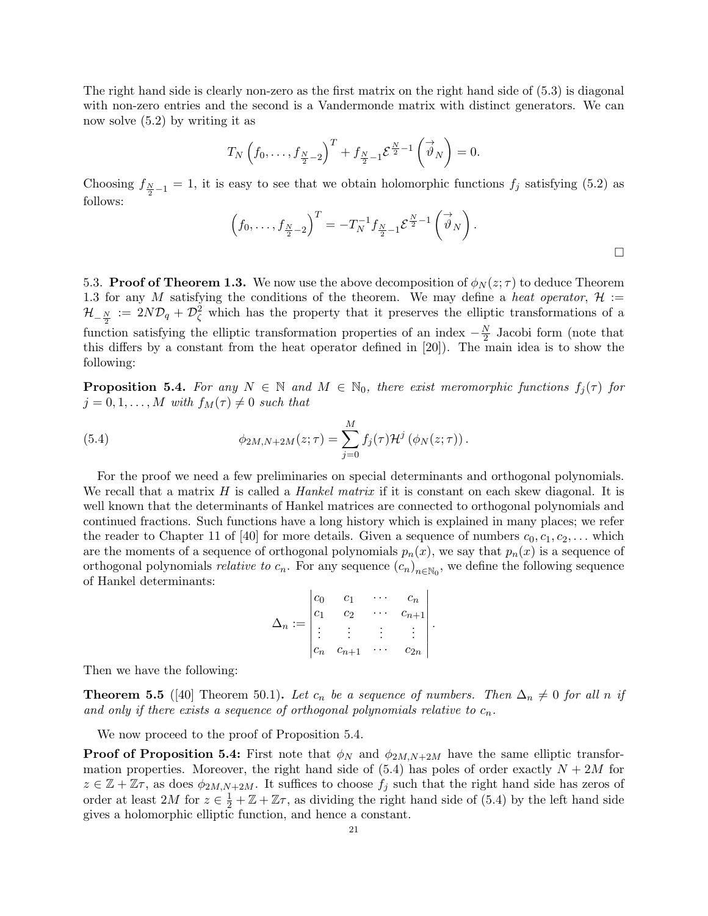The right hand side is clearly non-zero as the first matrix on the right hand side of (5.3) is diagonal with non-zero entries and the second is a Vandermonde matrix with distinct generators. We can now solve (5.2) by writing it as

$$
T_N\left(f_0,\ldots,f_{\frac{N}{2}-2}\right)^T+f_{\frac{N}{2}-1}\mathcal{E}^{\frac{N}{2}-1}\left(\overrightarrow{\vartheta}_N\right)=0.
$$

Choosing  $f_{\frac{N}{2}-1} = 1$ , it is easy to see that we obtain holomorphic functions  $f_j$  satisfying (5.2) as follows:

$$
\left(f_0,\ldots,f_{\frac{N}{2}-2}\right)^T=-T_N^{-1}f_{\frac{N}{2}-1}\mathcal{E}^{\frac{N}{2}-1}\left(\overrightarrow{\vartheta}_N\right).
$$

5.3. **Proof of Theorem 1.3.** We now use the above decomposition of  $\phi_N(z;\tau)$  to deduce Theorem 1.3 for any M satisfying the conditions of the theorem. We may define a heat operator,  $\mathcal{H}$  :=  $\mathcal{H}_{-\frac{N}{2}} := 2N\mathcal{D}_q + \mathcal{D}_\zeta^2$  which has the property that it preserves the elliptic transformations of a function satisfying the elliptic transformation properties of an index  $-\frac{N}{2}$  $\frac{N}{2}$  Jacobi form (note that this differs by a constant from the heat operator defined in [20]). The main idea is to show the following:

**Proposition 5.4.** For any  $N \in \mathbb{N}$  and  $M \in \mathbb{N}_0$ , there exist meromorphic functions  $f_i(\tau)$  for  $j = 0, 1, \ldots, M$  with  $f_M(\tau) \neq 0$  such that

(5.4) 
$$
\phi_{2M,N+2M}(z;\tau) = \sum_{j=0}^{M} f_j(\tau) \mathcal{H}^j (\phi_N(z;\tau)).
$$

For the proof we need a few preliminaries on special determinants and orthogonal polynomials. We recall that a matrix  $H$  is called a *Hankel matrix* if it is constant on each skew diagonal. It is well known that the determinants of Hankel matrices are connected to orthogonal polynomials and continued fractions. Such functions have a long history which is explained in many places; we refer the reader to Chapter 11 of [40] for more details. Given a sequence of numbers  $c_0, c_1, c_2, \ldots$  which are the moments of a sequence of orthogonal polynomials  $p_n(x)$ , we say that  $p_n(x)$  is a sequence of orthogonal polynomials *relative to*  $c_n$ . For any sequence  $(c_n)_{n \in \mathbb{N}_0}$ , we define the following sequence of Hankel determinants:

$$
\Delta_n := \begin{vmatrix} c_0 & c_1 & \cdots & c_n \\ c_1 & c_2 & \cdots & c_{n+1} \\ \vdots & \vdots & \vdots & \vdots \\ c_n & c_{n+1} & \cdots & c_{2n} \end{vmatrix}.
$$

Then we have the following:

**Theorem 5.5** ([40] Theorem 50.1). Let  $c_n$  be a sequence of numbers. Then  $\Delta_n \neq 0$  for all n if and only if there exists a sequence of orthogonal polynomials relative to  $c_n$ .

We now proceed to the proof of Proposition 5.4.

**Proof of Proposition 5.4:** First note that  $\phi_N$  and  $\phi_{2M,N+2M}$  have the same elliptic transformation properties. Moreover, the right hand side of  $(5.4)$  has poles of order exactly  $N + 2M$  for  $z \in \mathbb{Z} + \mathbb{Z}\tau$ , as does  $\phi_{2M,N+2M}$ . It suffices to choose  $f_j$  such that the right hand side has zeros of order at least 2M for  $z \in \frac{1}{2} + \mathbb{Z} + \mathbb{Z}\tau$ , as dividing the right hand side of (5.4) by the left hand side gives a holomorphic elliptic function, and hence a constant.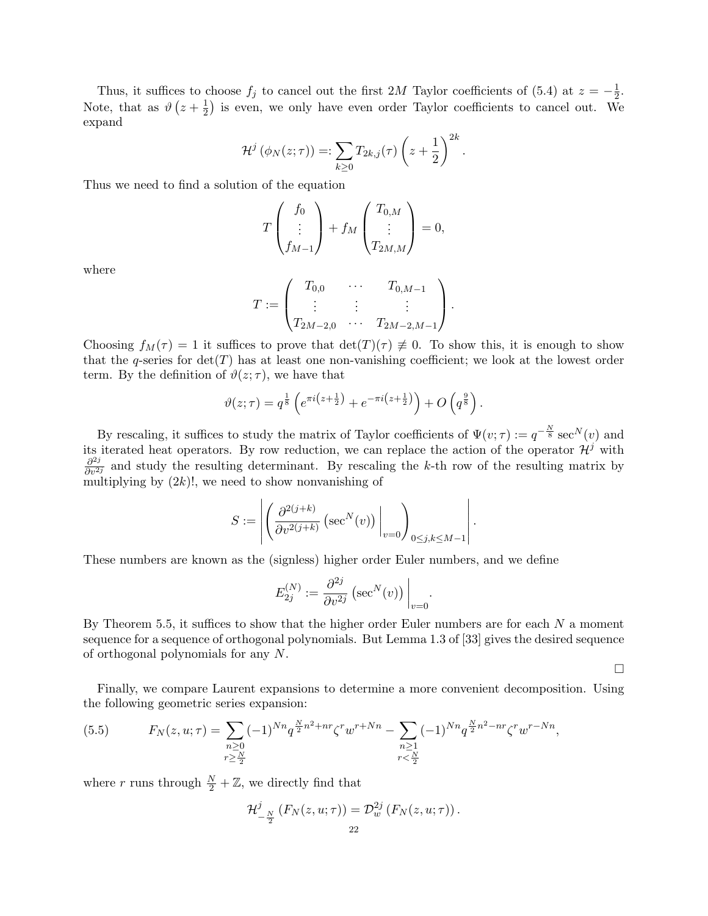Thus, it suffices to choose  $f_j$  to cancel out the first 2M Taylor coefficients of (5.4) at  $z = -\frac{1}{2}$  $\frac{1}{2}$ . Note, that as  $\vartheta(z+\frac{1}{2})$  $\frac{1}{2}$ ) is even, we only have even order Taylor coefficients to cancel out. We expand

$$
\mathcal{H}^{j}(\phi_{N}(z;\tau)) =: \sum_{k\geq 0} T_{2k,j}(\tau) \left(z+\frac{1}{2}\right)^{2k}.
$$

Thus we need to find a solution of the equation

$$
T\begin{pmatrix}f_0\\ \vdots\\ f_{M-1}\end{pmatrix} + f_M\begin{pmatrix}T_{0,M}\\ \vdots\\ T_{2M,M}\end{pmatrix} = 0,
$$

where

$$
T := \begin{pmatrix} T_{0,0} & \cdots & T_{0,M-1} \\ \vdots & \vdots & \vdots \\ T_{2M-2,0} & \cdots & T_{2M-2,M-1} \end{pmatrix}.
$$

Choosing  $f_M(\tau) = 1$  it suffices to prove that  $\det(T)(\tau) \neq 0$ . To show this, it is enough to show that the q-series for  $det(T)$  has at least one non-vanishing coefficient; we look at the lowest order term. By the definition of  $\vartheta(z;\tau)$ , we have that

$$
\vartheta(z;\tau) = q^{\frac{1}{8}} \left( e^{\pi i \left(z + \frac{1}{2}\right)} + e^{-\pi i \left(z + \frac{1}{2}\right)} \right) + O\left(q^{\frac{9}{8}}\right).
$$

By rescaling, it suffices to study the matrix of Taylor coefficients of  $\Psi(v; \tau) := q^{-\frac{N}{8}} \sec^N(v)$  and its iterated heat operators. By row reduction, we can replace the action of the operator  $\mathcal{H}^{j}$  with  $\frac{\partial^{2j}}{\partial v^{2j}}$  and study the resulting determinant. By rescaling the k-th row of the resulting matrix by multiplying by  $(2k)!$ , we need to show nonvanishing of

$$
S := \left| \left( \frac{\partial^{2(j+k)}}{\partial v^{2(j+k)}} \left( \sec^N(v) \right) \Big|_{v=0} \right)_{0 \le j,k \le M-1} \right|.
$$

These numbers are known as the (signless) higher order Euler numbers, and we define

$$
E_{2j}^{(N)} := \frac{\partial^{2j}}{\partial v^{2j}} \left( \sec^N(v) \right) \Big|_{v=0}.
$$

By Theorem 5.5, it suffices to show that the higher order Euler numbers are for each  $N$  a moment sequence for a sequence of orthogonal polynomials. But Lemma 1.3 of [33] gives the desired sequence of orthogonal polynomials for any N.

 $\Box$ 

Finally, we compare Laurent expansions to determine a more convenient decomposition. Using the following geometric series expansion:

(5.5) 
$$
F_N(z, u; \tau) = \sum_{\substack{n \geq 0 \\ r \geq \frac{N}{2}}} (-1)^{Nn} q^{\frac{N}{2}n^2 + nr} \zeta^r w^{r + Nn} - \sum_{\substack{n \geq 1 \\ r < \frac{N}{2}}} (-1)^{Nn} q^{\frac{N}{2}n^2 - nr} \zeta^r w^{r - Nn},
$$

where r runs through  $\frac{N}{2} + \mathbb{Z}$ , we directly find that

$$
\mathcal{H}^{j}_{-\frac{N}{2}}\left(F_{N}(z,u;\tau)\right)=\mathcal{D}^{2j}_{w}\left(F_{N}(z,u;\tau)\right).
$$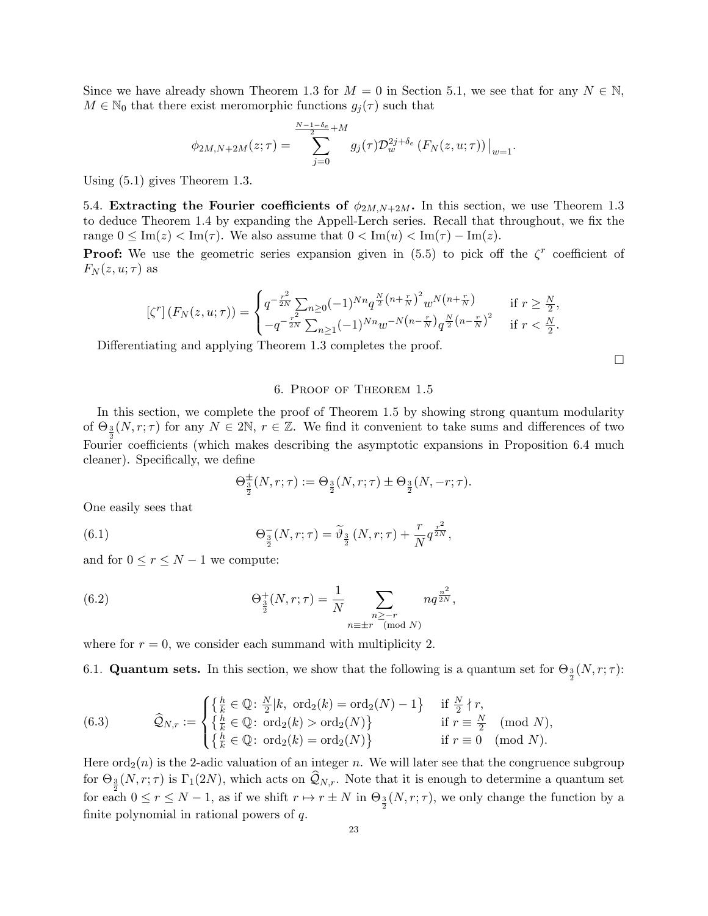Since we have already shown Theorem 1.3 for  $M = 0$  in Section 5.1, we see that for any  $N \in \mathbb{N}$ ,  $M \in \mathbb{N}_0$  that there exist meromorphic functions  $g_j(\tau)$  such that

$$
\phi_{2M,N+2M}(z;\tau) = \sum_{j=0}^{\frac{N-1-\delta_e}{2}+M} g_j(\tau) \mathcal{D}_w^{2j+\delta_e} (F_N(z,u;\tau)) \Big|_{w=1}.
$$

Using (5.1) gives Theorem 1.3.

5.4. Extracting the Fourier coefficients of  $\phi_{2M,N+2M}$ . In this section, we use Theorem 1.3 to deduce Theorem 1.4 by expanding the Appell-Lerch series. Recall that throughout, we fix the range  $0 \leq \text{Im}(z) < \text{Im}(\tau)$ . We also assume that  $0 < \text{Im}(u) < \text{Im}(\tau) - \text{Im}(z)$ .

**Proof:** We use the geometric series expansion given in (5.5) to pick off the  $\zeta^r$  coefficient of  $F_N(z, u; \tau)$  as

$$
\left[\zeta^r\right](F_N(z, u; \tau)) = \begin{cases} q^{-\frac{r^2}{2N}} \sum_{n \ge 0} (-1)^{Nn} q^{\frac{N}{2}\left(n + \frac{r}{N}\right)^2} w^{N\left(n + \frac{r}{N}\right)} & \text{if } r \ge \frac{N}{2},\\ -q^{-\frac{r^2}{2N}} \sum_{n \ge 1} (-1)^{Nn} w^{-N\left(n - \frac{r}{N}\right)} q^{\frac{N}{2}\left(n - \frac{r}{N}\right)^2} & \text{if } r < \frac{N}{2}. \end{cases}
$$

Differentiating and applying Theorem 1.3 completes the proof.

 $\Box$ 

# 6. Proof of Theorem 1.5

In this section, we complete the proof of Theorem 1.5 by showing strong quantum modularity of  $\Theta_{\frac{3}{2}}(N,r;\tau)$  for any  $N \in 2\mathbb{N}$ ,  $r \in \mathbb{Z}$ . We find it convenient to take sums and differences of two Fourier coefficients (which makes describing the asymptotic expansions in Proposition 6.4 much cleaner). Specifically, we define

$$
\Theta_{\frac{3}{2}}^{\pm}(N,r;\tau) := \Theta_{\frac{3}{2}}(N,r;\tau) \pm \Theta_{\frac{3}{2}}(N,-r;\tau).
$$

One easily sees that

(6.1) 
$$
\Theta_{\frac{3}{2}}^{-}(N,r;\tau) = \tilde{\vartheta}_{\frac{3}{2}}(N,r;\tau) + \frac{r}{N}q^{\frac{r^{2}}{2N}},
$$

and for  $0 \le r \le N - 1$  we compute:

(6.2) 
$$
\Theta_{\frac{3}{2}}^{+}(N,r;\tau) = \frac{1}{N} \sum_{\substack{n \geq -r \\ n \equiv \pm r \pmod{N}}} n q^{\frac{n^2}{2N}},
$$

where for  $r = 0$ , we consider each summand with multiplicity 2.

6.1. **Quantum sets.** In this section, we show that the following is a quantum set for  $\Theta_{\frac{3}{2}}(N,r;\tau)$ :

(6.3) 
$$
\widehat{Q}_{N,r} := \begin{cases} \left\{ \frac{h}{k} \in \mathbb{Q} \colon \frac{N}{2} | k, \text{ ord}_2(k) = \text{ord}_2(N) - 1 \right\} & \text{if } \frac{N}{2} \nmid r, \\ \left\{ \frac{h}{k} \in \mathbb{Q} \colon \text{ord}_2(k) > \text{ord}_2(N) \right\} & \text{if } r \equiv \frac{N}{2} \pmod{N}, \\ \left\{ \frac{h}{k} \in \mathbb{Q} \colon \text{ord}_2(k) = \text{ord}_2(N) \right\} & \text{if } r \equiv 0 \pmod{N}. \end{cases}
$$

Here  $\text{ord}_2(n)$  is the 2-adic valuation of an integer n. We will later see that the congruence subgroup for  $\Theta_{\frac{3}{2}}(N,r;\tau)$  is  $\Gamma_1(2N)$ , which acts on  $\mathcal{Q}_{N,r}$ . Note that it is enough to determine a quantum set for each  $0 \le r \le N-1$ , as if we shift  $r \mapsto r \pm N$  in  $\Theta_{\frac{3}{2}}(N,r;\tau)$ , we only change the function by a finite polynomial in rational powers of  $q$ .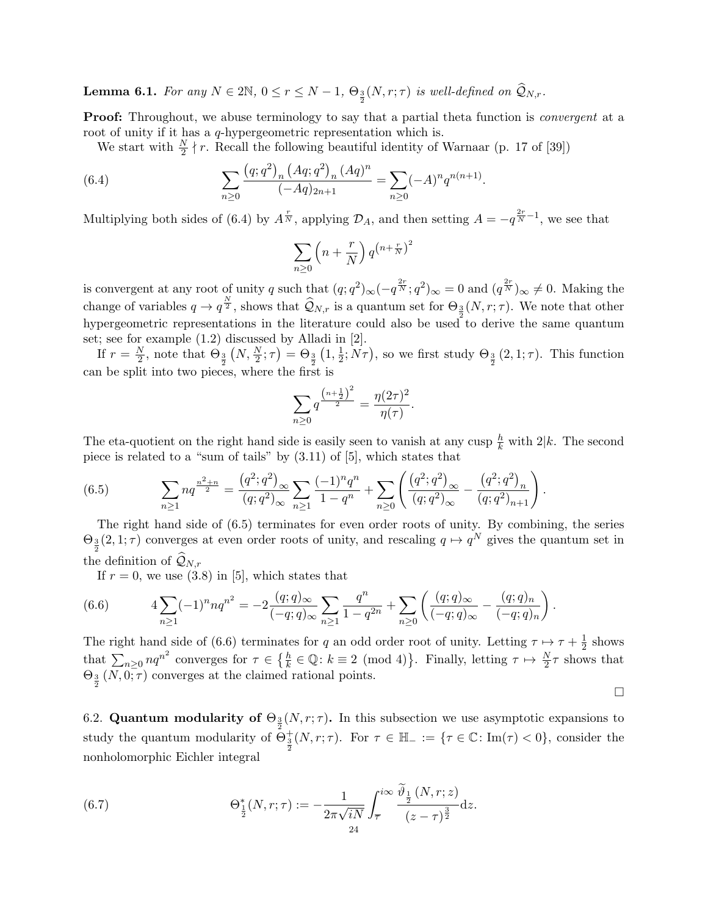**Lemma 6.1.** For any  $N \in 2\mathbb{N}$ ,  $0 \le r \le N-1$ ,  $\Theta_{\frac{3}{2}}(N,r;\tau)$  is well-defined on  $\widehat{\mathcal{Q}}_{N,r}$ .

**Proof:** Throughout, we abuse terminology to say that a partial theta function is *convergent* at a root of unity if it has a *q*-hypergeometric representation which is.

.

We start with  $\frac{N}{2} \nmid r$ . Recall the following beautiful identity of Warnaar (p. 17 of [39])

(6.4) 
$$
\sum_{n\geq 0} \frac{(q;q^2)_n (Aq;q^2)_n (Aq)^n}{(-Aq)_{2n+1}} = \sum_{n\geq 0} (-A)^n q^{n(n+1)}
$$

Multiplying both sides of (6.4) by  $A^{\frac{r}{N}}$ , applying  $\mathcal{D}_A$ , and then setting  $A = -q^{\frac{2r}{N}-1}$ , we see that

$$
\sum_{n\geq 0} \left(n+\frac{r}{N}\right) q^{\left(n+\frac{r}{N}\right)^2}
$$

is convergent at any root of unity q such that  $(q; q^2)_{\infty}(-q^{\frac{2r}{N}}; q^2)_{\infty} = 0$  and  $(q^{\frac{2r}{N}})_{\infty} \neq 0$ . Making the change of variables  $q \to q^{\frac{N}{2}}$ , shows that  $\widehat{\mathcal{Q}}_{N,r}$  is a quantum set for  $\Theta_{\frac{3}{2}}(N,r;\tau)$ . We note that other hypergeometric representations in the literature could also be used to derive the same quantum set; see for example (1.2) discussed by Alladi in [2].

If  $r = \frac{N}{2}$  $\frac{N}{2}$ , note that  $\Theta_{\frac{3}{2}}(N, \frac{N}{2}; \tau) = \Theta_{\frac{3}{2}}(1, \frac{1}{2})$  $(\frac{1}{2}; N\tau)$ , so we first study  $\Theta_{\frac{3}{2}}(2,1;\tau)$ . This function can be split into two pieces, where the first is

$$
\sum_{n\geq 0} q^{\frac{\left(n+\frac{1}{2}\right)^2}{2}} = \frac{\eta(2\tau)^2}{\eta(\tau)}.
$$

The eta-quotient on the right hand side is easily seen to vanish at any cusp  $\frac{h}{k}$  with  $2|k$ . The second piece is related to a "sum of tails" by (3.11) of [5], which states that

(6.5) 
$$
\sum_{n\geq 1} n q^{\frac{n^2+n}{2}} = \frac{(q^2;q^2)_{\infty}}{(q;q^2)_{\infty}} \sum_{n\geq 1} \frac{(-1)^n q^n}{1-q^n} + \sum_{n\geq 0} \left( \frac{(q^2;q^2)_{\infty}}{(q;q^2)_{\infty}} - \frac{(q^2;q^2)_n}{(q;q^2)_{n+1}} \right)
$$

The right hand side of (6.5) terminates for even order roots of unity. By combining, the series  $\Theta_{\frac{3}{2}}(2,1;\tau)$  converges at even order roots of unity, and rescaling  $q \mapsto q^N$  gives the quantum set in the definition of  $\mathcal{Q}_{N,r}$ 

If  $r = 0$ , we use  $(3.8)$  in [5], which states that

(6.6) 
$$
4\sum_{n\geq 1} (-1)^n n q^{n^2} = -2 \frac{(q;q)_{\infty}}{(-q;q)_{\infty}} \sum_{n\geq 1} \frac{q^n}{1-q^{2n}} + \sum_{n\geq 0} \left( \frac{(q;q)_{\infty}}{(-q;q)_{\infty}} - \frac{(q;q)_n}{(-q;q)_n} \right)
$$

The right hand side of (6.6) terminates for q an odd order root of unity. Letting  $\tau \mapsto \tau + \frac{1}{2}$  $\frac{1}{2}$  shows that  $\sum_{n\geq 0} nq^{n^2}$  converges for  $\tau \in \left\{\frac{h}{k} \in \mathbb{Q} : k \equiv 2 \pmod{4}\right\}$ . Finally, letting  $\tau \mapsto \frac{N}{2}\tau$  shows that  $\Theta_{\frac{3}{2}}(N,0;\tau)$  converges at the claimed rational points.

 $\Box$ 

.

.

6.2. Quantum modularity of  $\Theta_{\frac{3}{2}}(N,r;\tau)$ . In this subsection we use asymptotic expansions to study the quantum modularity of  $\Theta_{\frac{3}{2}}^{+}(N,r;\tau)$ . For  $\tau \in \mathbb{H}_{-} := \{\tau \in \mathbb{C} : \text{Im}(\tau) < 0\}$ , consider the nonholomorphic Eichler integral

(6.7) 
$$
\Theta_{\frac{1}{2}}^{*}(N,r;\tau) := -\frac{1}{2\pi\sqrt{iN}} \int_{\overline{\tau}}^{i\infty} \frac{\vartheta_{\frac{1}{2}}(N,r;z)}{(z-\tau)^{\frac{3}{2}}} dz.
$$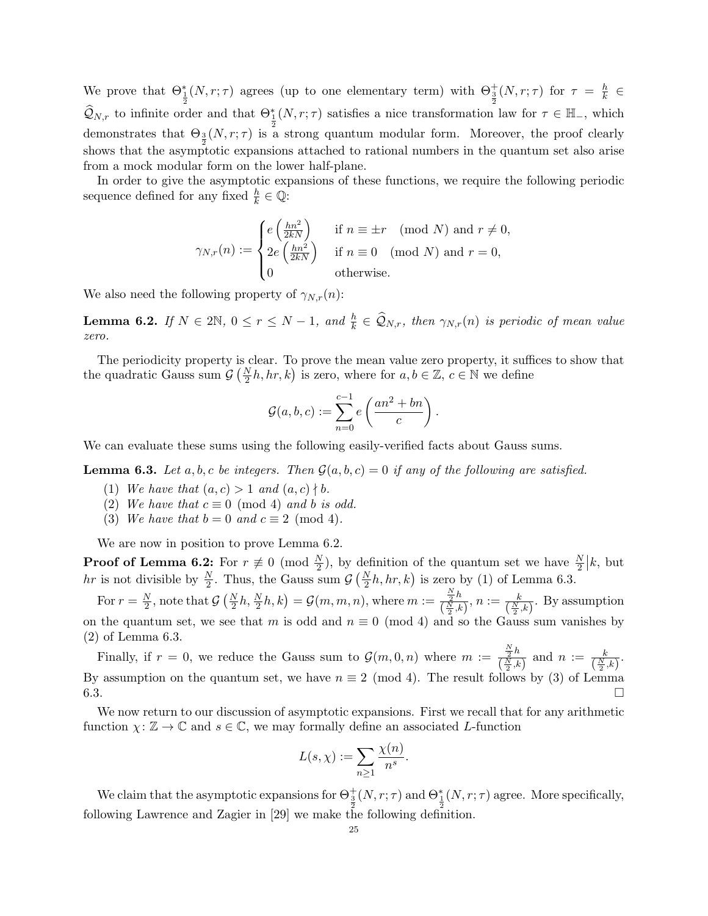We prove that  $\Theta_{\frac{1}{2}}^*(N,r;\tau)$  agrees (up to one elementary term) with  $\Theta_{\frac{3}{2}}^+(N,r;\tau)$  for  $\tau = \frac{h}{k}$  $\frac{h}{k}$   $\in$  $\widehat{Q}_{N,r}$  to infinite order and that  $\Theta_{\frac{1}{2}}^*(N,r;\tau)$  satisfies a nice transformation law for  $\tau \in \mathbb{H}_-$ , which demonstrates that  $\Theta_3(N,r;\tau)$  is a strong quantum modular form. Moreover, the proof clearly shows that the asymptotic expansions attached to rational numbers in the quantum set also arise from a mock modular form on the lower half-plane.

In order to give the asymptotic expansions of these functions, we require the following periodic sequence defined for any fixed  $\frac{h}{k} \in \mathbb{Q}$ :

$$
\gamma_{N,r}(n) := \begin{cases} e\left(\frac{hn^2}{2kN}\right) & \text{if } n \equiv \pm r \pmod{N} \text{ and } r \neq 0, \\ 2e\left(\frac{hn^2}{2kN}\right) & \text{if } n \equiv 0 \pmod{N} \text{ and } r = 0, \\ 0 & \text{otherwise.} \end{cases}
$$

We also need the following property of  $\gamma_{N,r}(n)$ :

**Lemma 6.2.** If  $N \in 2\mathbb{N}$ ,  $0 \le r \le N-1$ , and  $\frac{h}{k} \in \widehat{\mathcal{Q}}_{N,r}$ , then  $\gamma_{N,r}(n)$  is periodic of mean value zero.

The periodicity property is clear. To prove the mean value zero property, it suffices to show that the quadratic Gauss sum  $G(\frac{N}{2}h, hr, k)$  is zero, where for  $a, b \in \mathbb{Z}, c \in \mathbb{N}$  we define

$$
\mathcal{G}(a,b,c) := \sum_{n=0}^{c-1} e\left(\frac{an^2 + bn}{c}\right).
$$

We can evaluate these sums using the following easily-verified facts about Gauss sums.

**Lemma 6.3.** Let a, b, c be integers. Then  $\mathcal{G}(a, b, c) = 0$  if any of the following are satisfied.

- (1) We have that  $(a, c) > 1$  and  $(a, c) \nmid b$ .
- (2) We have that  $c \equiv 0 \pmod{4}$  and b is odd.
- (3) We have that  $b = 0$  and  $c \equiv 2 \pmod{4}$ .

We are now in position to prove Lemma 6.2.

**Proof of Lemma 6.2:** For  $r \neq 0 \pmod{\frac{N}{2}$ , by definition of the quantum set we have  $\frac{N}{2} | k$ , but hr is not divisible by  $\frac{N}{2}$ . Thus, the Gauss sum  $\mathcal{G}\left(\frac{N}{2}h, hr, k\right)$  is zero by (1) of Lemma 6.3.

For  $r = \frac{N}{2}$  $\frac{N}{2}$ , note that  $\mathcal{G}\left(\frac{N}{2}h, \frac{N}{2}h, k\right) = \mathcal{G}(m, m, n)$ , where  $m := \frac{\frac{N}{2}h}{\left(\frac{N}{2}\right)k}$  $\frac{\frac{N}{2}h}{(\frac{N}{2},k)}, n := \frac{k}{(\frac{N}{2},k)}$ . By assumption on the quantum set, we see that m is odd and  $n \equiv 0 \pmod{4}$  and so the Gauss sum vanishes by (2) of Lemma 6.3.

Finally, if  $r = 0$ , we reduce the Gauss sum to  $\mathcal{G}(m, 0, n)$  where  $m := \frac{\frac{N}{2}h}{\sqrt{N-h}}$  $\frac{\frac{N}{2}h}{\left(\frac{N}{2},k\right)}$  and  $n := \frac{k}{\left(\frac{N}{2},k\right)}$ . By assumption on the quantum set, we have  $n \equiv 2 \pmod{4}$ . The result follows by (3) of Lemma  $6.3.$ 

We now return to our discussion of asymptotic expansions. First we recall that for any arithmetic function  $\chi: \mathbb{Z} \to \mathbb{C}$  and  $s \in \mathbb{C}$ , we may formally define an associated L-function

$$
L(s,\chi) := \sum_{n\geq 1} \frac{\chi(n)}{n^s}.
$$

We claim that the asymptotic expansions for  $\Theta_{\frac{3}{2}}^+(N,r;\tau)$  and  $\Theta_{\frac{1}{2}}^*(N,r;\tau)$  agree. More specifically, following Lawrence and Zagier in [29] we make the following definition.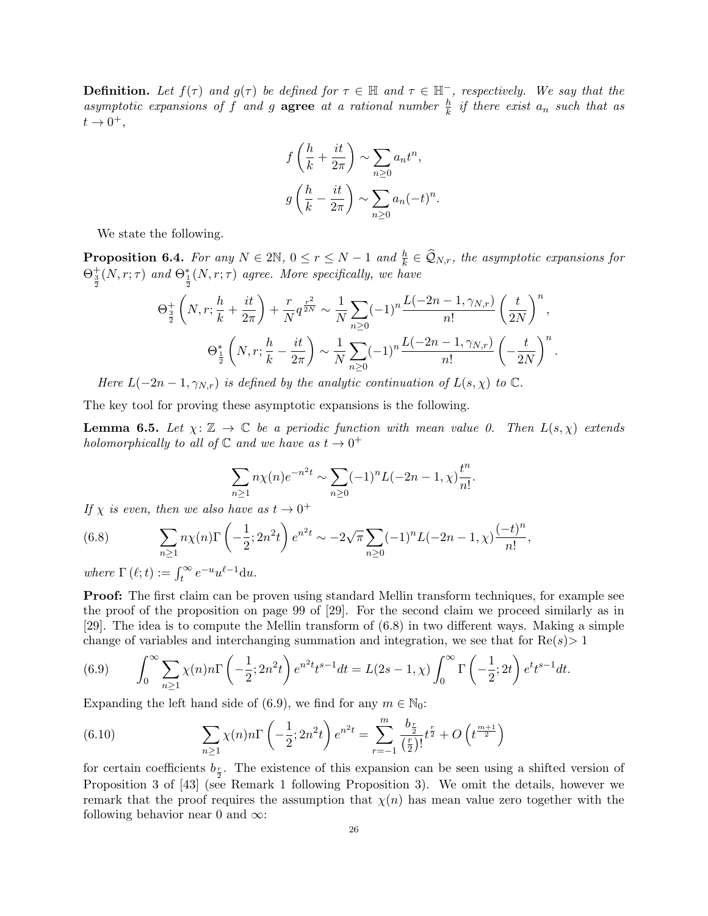**Definition.** Let  $f(\tau)$  and  $g(\tau)$  be defined for  $\tau \in \mathbb{H}$  and  $\tau \in \mathbb{H}^-$ , respectively. We say that the asymptotic expansions of f and g agree at a rational number  $\frac{h}{k}$  if there exist  $a_n$  such that as  $t\rightarrow 0^+,$ 

$$
f\left(\frac{h}{k} + \frac{it}{2\pi}\right) \sim \sum_{n\geq 0} a_n t^n,
$$

$$
g\left(\frac{h}{k} - \frac{it}{2\pi}\right) \sim \sum_{n\geq 0} a_n (-t)^n.
$$

We state the following.

**Proposition 6.4.** For any  $N \in 2\mathbb{N}$ ,  $0 \le r \le N-1$  and  $\frac{h}{k} \in \mathcal{Q}_{N,r}$ , the asymptotic expansions for  $\Theta_{\frac{3}{2}}^{+}(N,r;\tau)$  and  $\Theta_{\frac{1}{2}}^{*}(N,r;\tau)$  agree. More specifically, we have

$$
\Theta_{\frac{3}{2}}^{+}\left(N, r; \frac{h}{k} + \frac{it}{2\pi}\right) + \frac{r}{N}q^{\frac{r^{2}}{2N}} \sim \frac{1}{N} \sum_{n\geq 0} (-1)^{n} \frac{L(-2n-1, \gamma_{N,r})}{n!} \left(\frac{t}{2N}\right)^{n},
$$

$$
\Theta_{\frac{1}{2}}^{*}\left(N, r; \frac{h}{k} - \frac{it}{2\pi}\right) \sim \frac{1}{N} \sum_{n\geq 0} (-1)^{n} \frac{L(-2n-1, \gamma_{N,r})}{n!} \left(-\frac{t}{2N}\right)^{n}.
$$

Here  $L(-2n-1,\gamma_{N,r})$  is defined by the analytic continuation of  $L(s,\chi)$  to  $\mathbb{C}$ .

The key tool for proving these asymptotic expansions is the following.

**Lemma 6.5.** Let  $\chi: \mathbb{Z} \to \mathbb{C}$  be a periodic function with mean value 0. Then  $L(s, \chi)$  extends holomorphically to all of  $\mathbb C$  and we have as  $t \to 0^+$ 

$$
\sum_{n\geq 1} n\chi(n)e^{-n^2t} \sim \sum_{n\geq 0} (-1)^n L(-2n-1,\chi) \frac{t^n}{n!}.
$$

If  $\chi$  is even, then we also have as  $t \to 0^+$ 

(6.8) 
$$
\sum_{n\geq 1} n\chi(n) \Gamma\left(-\frac{1}{2}; 2n^2t\right) e^{n^2t} \sim -2\sqrt{\pi} \sum_{n\geq 0} (-1)^n L(-2n-1, \chi) \frac{(-t)^n}{n!},
$$

where  $\Gamma(\ell; t) := \int_t^{\infty} e^{-u} u^{\ell-1} du$ .

Proof: The first claim can be proven using standard Mellin transform techniques, for example see the proof of the proposition on page 99 of [29]. For the second claim we proceed similarly as in [29]. The idea is to compute the Mellin transform of (6.8) in two different ways. Making a simple change of variables and interchanging summation and integration, we see that for  $\text{Re}(s) > 1$ 

(6.9) 
$$
\int_0^{\infty} \sum_{n\geq 1} \chi(n) n \Gamma\left(-\frac{1}{2}; 2n^2 t\right) e^{n^2 t} t^{s-1} dt = L(2s-1, \chi) \int_0^{\infty} \Gamma\left(-\frac{1}{2}; 2t\right) e^t t^{s-1} dt.
$$

Expanding the left hand side of (6.9), we find for any  $m \in \mathbb{N}_0$ :

(6.10) 
$$
\sum_{n\geq 1} \chi(n)n\Gamma\left(-\frac{1}{2};2n^2t\right)e^{n^2t} = \sum_{r=-1}^m \frac{b_{\frac{r}{2}}}{(\frac{r}{2})!}t^{\frac{r}{2}} + O\left(t^{\frac{m+1}{2}}\right)
$$

for certain coefficients  $b_{\frac{r}{2}}$ . The existence of this expansion can be seen using a shifted version of Proposition 3 of [43] (see Remark 1 following Proposition 3). We omit the details, however we remark that the proof requires the assumption that  $\chi(n)$  has mean value zero together with the following behavior near 0 and  $\infty$ :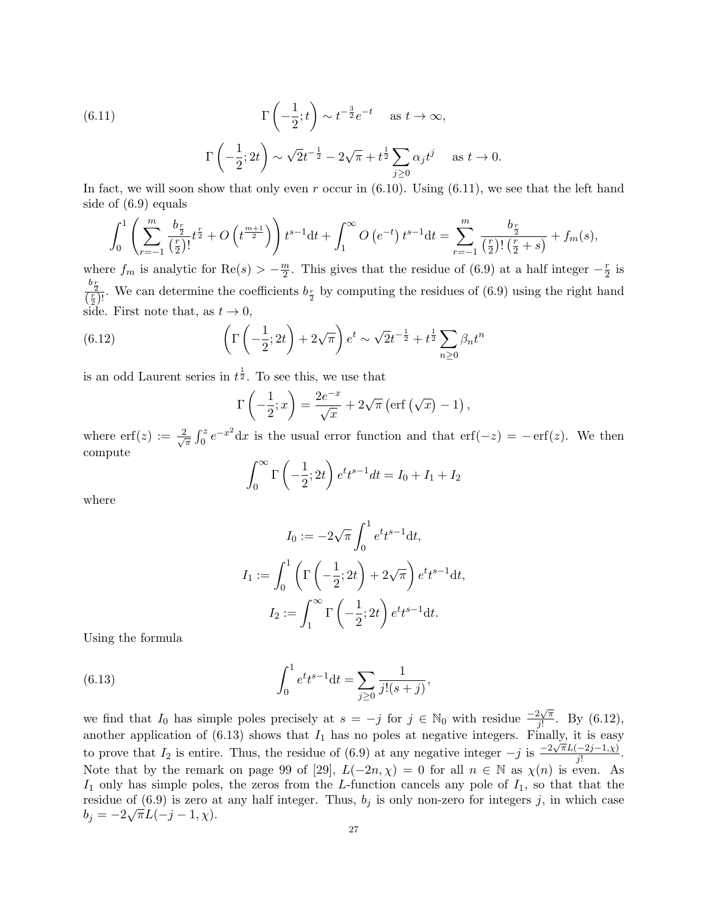(6.11) 
$$
\Gamma\left(-\frac{1}{2};t\right) \sim t^{-\frac{3}{2}}e^{-t} \quad \text{as } t \to \infty,
$$

$$
\Gamma\left(-\frac{1}{2};2t\right) \sim \sqrt{2}t^{-\frac{1}{2}} - 2\sqrt{\pi} + t^{\frac{1}{2}}\sum_{j\geq 0} \alpha_j t^j \quad \text{as } t \to
$$

In fact, we will soon show that only even r occur in  $(6.10)$ . Using  $(6.11)$ , we see that the left hand side of (6.9) equals

 $\overline{0}$ .

$$
\int_0^1 \left( \sum_{r=-1}^m \frac{b_{\frac{r}{2}}}{(\frac{r}{2})!} t^{\frac{r}{2}} + O\left(t^{\frac{m+1}{2}}\right) \right) t^{s-1} dt + \int_1^\infty O\left(e^{-t}\right) t^{s-1} dt = \sum_{r=-1}^m \frac{b_{\frac{r}{2}}}{(\frac{r}{2})! \left(\frac{r}{2} + s\right)} + f_m(s),
$$

where  $f_m$  is analytic for Re $(s) > -\frac{m}{2}$  $\frac{m}{2}$ . This gives that the residue of (6.9) at a half integer  $-\frac{r}{2}$  $rac{r}{2}$  is  $\frac{b_{\frac{r}{2}}}{(\frac{r}{2})!}$ . We can determine the coefficients  $b_{\frac{r}{2}}$  by computing the residues of (6.9) using the right hand side. First note that, as  $t \to 0$ ,

(6.12) 
$$
\left(\Gamma\left(-\frac{1}{2};2t\right) + 2\sqrt{\pi}\right)e^{t} \sim \sqrt{2}t^{-\frac{1}{2}} + t^{\frac{1}{2}}\sum_{n\geq 0} \beta_n t^n
$$

is an odd Laurent series in  $t^{\frac{1}{2}}$ . To see this, we use that

$$
\Gamma\left(-\frac{1}{2};x\right) = \frac{2e^{-x}}{\sqrt{x}} + 2\sqrt{\pi} \left(\text{erf}\left(\sqrt{x}\right) - 1\right),
$$

where  $\text{erf}(z) := \frac{2}{\sqrt{2}}$  $\frac{R}{\pi} \int_0^z e^{-x^2} dx$  is the usual error function and that  $\text{erf}(-z) = -\text{erf}(z)$ . We then compute

$$
\int_0^\infty \Gamma\left(-\frac{1}{2}; 2t\right) e^t t^{s-1} dt = I_0 + I_1 + I_2
$$

where

$$
I_0 := -2\sqrt{\pi} \int_0^1 e^t t^{s-1} dt,
$$
  
\n
$$
I_1 := \int_0^1 \left( \Gamma\left(-\frac{1}{2}; 2t\right) + 2\sqrt{\pi} \right) e^t t^{s-1} dt,
$$
  
\n
$$
I_2 := \int_1^\infty \Gamma\left(-\frac{1}{2}; 2t\right) e^t t^{s-1} dt.
$$

Using the formula

(6.13) 
$$
\int_0^1 e^t t^{s-1} dt = \sum_{j\geq 0} \frac{1}{j!(s+j)},
$$

we find that  $I_0$  has simple poles precisely at  $s = -j$  for  $j \in \mathbb{N}_0$  with residue  $\frac{-2\sqrt{\pi}}{i!}$  $\frac{2\sqrt{\pi}}{j!}$ . By (6.12), another application of  $(6.13)$  shows that  $I_1$  has no poles at negative integers. Finally, it is easy to prove that  $I_2$  is entire. Thus, the residue of (6.9) at any negative integer  $-j$  is  $\frac{-2\sqrt{\pi}L(-2j-1,\chi)}{i!}$  $\frac{-2j-1,\chi_j}{j!}$ . Note that by the remark on page 99 of [29],  $L(-2n, \chi) = 0$  for all  $n \in \mathbb{N}$  as  $\chi(n)$  is even. As  $I_1$  only has simple poles, the zeros from the L-function cancels any pole of  $I_1$ , so that that the residue of  $(6.9)$  is zero at any half integer. Thus,  $b_j$  is only non-zero for integers j, in which case  $b_j = -2\sqrt{\pi}L(-j-1,\chi).$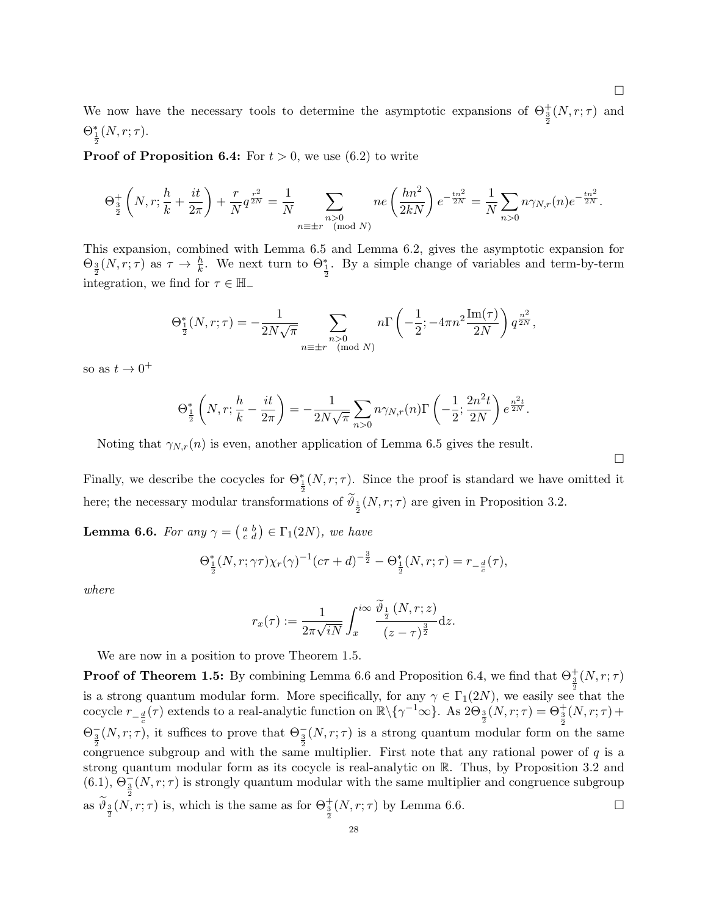We now have the necessary tools to determine the asymptotic expansions of  $\Theta_{\frac{3}{2}}^{+}(N,r;\tau)$  and  $\Theta_{\frac{1}{2}}^{*}(N,r;\tau).$ 

**Proof of Proposition 6.4:** For  $t > 0$ , we use (6.2) to write

$$
\Theta_{\frac{3}{2}}^+\left(N,r;\frac{h}{k}+\frac{it}{2\pi}\right)+\frac{r}{N}q^{\frac{r^2}{2N}}=\frac{1}{N}\sum_{\substack{n>0\\n\equiv\pm r\pmod{N}}}ne\left(\frac{hn^2}{2kN}\right)e^{-\frac{tn^2}{2N}}=\frac{1}{N}\sum_{n>0}n\gamma_{N,r}(n)e^{-\frac{tn^2}{2N}}.
$$

This expansion, combined with Lemma 6.5 and Lemma 6.2, gives the asymptotic expansion for  $\Theta_{\frac{3}{2}}(N,r;\tau)$  as  $\tau \to \frac{h}{k}$ . We next turn to  $\Theta_{\frac{1}{2}}^*$ . By a simple change of variables and term-by-term integration, we find for  $\tau \in \mathbb{H}$ 

$$
\Theta_{\frac{1}{2}}^{*}(N,r;\tau) = -\frac{1}{2N\sqrt{\pi}} \sum_{\substack{n>0 \ n \equiv \pm r \pmod{N}}} n\Gamma\left(-\frac{1}{2}; -4\pi n^2 \frac{\text{Im}(\tau)}{2N}\right) q^{\frac{n^2}{2N}},
$$

so as  $t \to 0^+$ 

$$
\Theta_{\frac{1}{2}}^{*}\left(N,r;\frac{h}{k}-\frac{it}{2\pi}\right)=-\frac{1}{2N\sqrt{\pi}}\sum_{n>0}n\gamma_{N,r}(n)\Gamma\left(-\frac{1}{2};\frac{2n^2t}{2N}\right)e^{\frac{n^2t}{2N}}.
$$

Noting that  $\gamma_{N,r}(n)$  is even, another application of Lemma 6.5 gives the result.

Finally, we describe the cocycles for  $\Theta_{\frac{1}{2}}^{*}(N,r;\tau)$ . Since the proof is standard we have omitted it here; the necessary modular transformations of  $\vartheta_{\frac{1}{2}}(N,r;\tau)$  are given in Proposition 3.2.

**Lemma 6.6.** For any  $\gamma = \begin{pmatrix} a & b \\ c & d \end{pmatrix} \in \Gamma_1(2N)$ , we have

$$
\Theta_{\frac{1}{2}}^*(N,r;\gamma\tau)\chi_r(\gamma)^{-1}(c\tau+d)^{-\frac{3}{2}} - \Theta_{\frac{1}{2}}^*(N,r;\tau) = r_{-\frac{d}{c}}(\tau),
$$

where

$$
r_x(\tau) := \frac{1}{2\pi\sqrt{iN}} \int_x^{i\infty} \frac{\vartheta_{\frac{1}{2}}(N,r;z)}{(z-\tau)^{\frac{3}{2}}} dz.
$$

We are now in a position to prove Theorem 1.5.

**Proof of Theorem 1.5:** By combining Lemma 6.6 and Proposition 6.4, we find that  $\Theta_{3}^{+}(N,r;\tau)$ is a strong quantum modular form. More specifically, for any  $\gamma \in \Gamma_1(2N)$ , we easily see that the cocycle  $r_{-\frac{d}{c}}(\tau)$  extends to a real-analytic function on  $\mathbb{R}\setminus{\{\gamma^{-1}\infty\}}$ . As  $2\Theta_{\frac{3}{2}}(N,r;\tau)=\Theta_{\frac{3}{2}}^+(N,r;\tau)+$  $\Theta_{\frac{3}{2}}(N,r;\tau)$ , it suffices to prove that  $\Theta_{\frac{3}{2}}(N,r;\tau)$  is a strong quantum modular form on the same congruence subgroup and with the same multiplier. First note that any rational power of  $q$  is a strong quantum modular form as its cocycle is real-analytic on R. Thus, by Proposition 3.2 and  $(6.1), \Theta_{\frac{3}{2}}(N,r;\tau)$  is strongly quantum modular with the same multiplier and congruence subgroup as  $\widetilde{\theta}_{\frac{3}{2}}(N,r;\tau)$  is, which is the same as for  $\Theta_{\frac{3}{2}}^+(N,r;\tau)$  by Lemma 6.6.

 $\Box$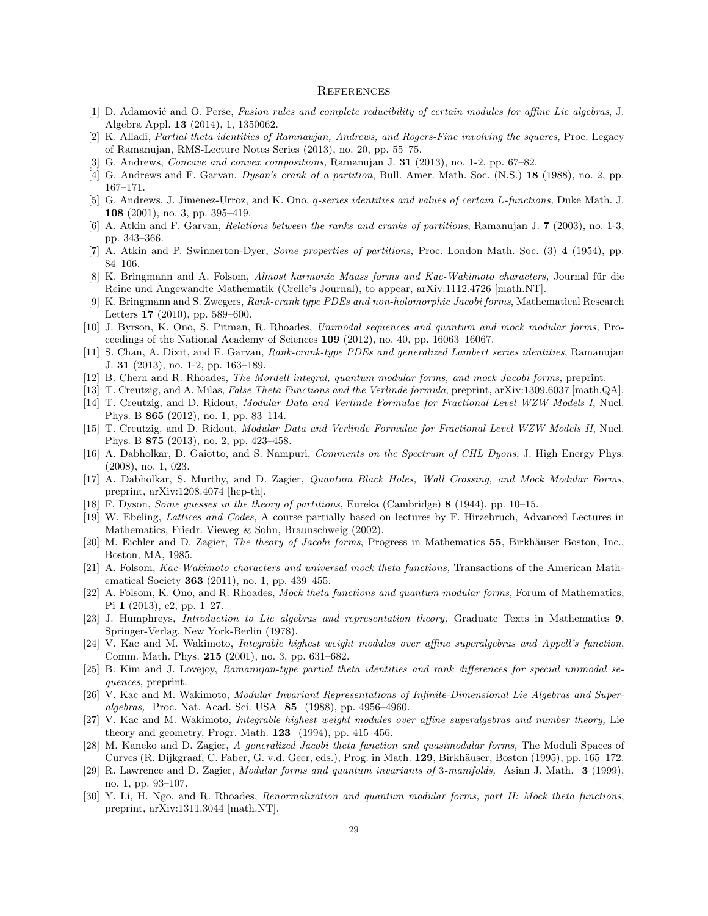#### **REFERENCES**

- [1] D. Adamović and O. Perše, Fusion rules and complete reducibility of certain modules for affine Lie algebras, J. Algebra Appl. 13 (2014), 1, 1350062.
- [2] K. Alladi, Partial theta identities of Ramnaujan, Andrews, and Rogers-Fine involving the squares, Proc. Legacy of Ramanujan, RMS-Lecture Notes Series (2013), no. 20, pp. 55–75.
- [3] G. Andrews, Concave and convex compositions, Ramanujan J. 31 (2013), no. 1-2, pp. 67–82.
- [4] G. Andrews and F. Garvan, Dyson's crank of a partition, Bull. Amer. Math. Soc. (N.S.) 18 (1988), no. 2, pp. 167–171.
- [5] G. Andrews, J. Jimenez-Urroz, and K. Ono, q-series identities and values of certain L-functions, Duke Math. J. 108 (2001), no. 3, pp. 395–419.
- [6] A. Atkin and F. Garvan, Relations between the ranks and cranks of partitions, Ramanujan J. 7 (2003), no. 1-3, pp. 343–366.
- [7] A. Atkin and P. Swinnerton-Dyer, Some properties of partitions, Proc. London Math. Soc. (3) 4 (1954), pp. 84–106.
- [8] K. Bringmann and A. Folsom, Almost harmonic Maass forms and Kac-Wakimoto characters, Journal für die Reine und Angewandte Mathematik (Crelle's Journal), to appear, arXiv:1112.4726 [math.NT].
- [9] K. Bringmann and S. Zwegers, Rank-crank type PDEs and non-holomorphic Jacobi forms, Mathematical Research Letters 17 (2010), pp. 589–600.
- [10] J. Byrson, K. Ono, S. Pitman, R. Rhoades, Unimodal sequences and quantum and mock modular forms, Proceedings of the National Academy of Sciences 109 (2012), no. 40, pp. 16063–16067.
- [11] S. Chan, A. Dixit, and F. Garvan, Rank-crank-type PDEs and generalized Lambert series identities, Ramanujan J. 31 (2013), no. 1-2, pp. 163–189.
- [12] B. Chern and R. Rhoades, The Mordell integral, quantum modular forms, and mock Jacobi forms, preprint.
- [13] T. Creutzig, and A. Milas, False Theta Functions and the Verlinde formula, preprint, arXiv:1309.6037 [math.QA].
- [14] T. Creutzig, and D. Ridout, Modular Data and Verlinde Formulae for Fractional Level WZW Models I, Nucl. Phys. B 865 (2012), no. 1, pp. 83–114.
- [15] T. Creutzig, and D. Ridout, Modular Data and Verlinde Formulae for Fractional Level WZW Models II, Nucl. Phys. B 875 (2013), no. 2, pp. 423–458.
- [16] A. Dabholkar, D. Gaiotto, and S. Nampuri, Comments on the Spectrum of CHL Dyons, J. High Energy Phys. (2008), no. 1, 023.
- [17] A. Dabholkar, S. Murthy, and D. Zagier, Quantum Black Holes, Wall Crossing, and Mock Modular Forms, preprint, arXiv:1208.4074 [hep-th].
- [18] F. Dyson, Some guesses in the theory of partitions, Eureka (Cambridge) 8 (1944), pp. 10–15.
- [19] W. Ebeling, Lattices and Codes, A course partially based on lectures by F. Hirzebruch, Advanced Lectures in Mathematics, Friedr. Vieweg & Sohn, Braunschweig (2002).
- [20] M. Eichler and D. Zagier, *The theory of Jacobi forms*, Progress in Mathematics 55, Birkhäuser Boston, Inc., Boston, MA, 1985.
- [21] A. Folsom, Kac-Wakimoto characters and universal mock theta functions, Transactions of the American Mathematical Society 363 (2011), no. 1, pp. 439–455.
- [22] A. Folsom, K. Ono, and R. Rhoades, Mock theta functions and quantum modular forms, Forum of Mathematics, Pi 1 (2013), e2, pp. 1–27.
- [23] J. Humphreys, Introduction to Lie algebras and representation theory, Graduate Texts in Mathematics 9, Springer-Verlag, New York-Berlin (1978).
- [24] V. Kac and M. Wakimoto, Integrable highest weight modules over affine superalgebras and Appell's function, Comm. Math. Phys. 215 (2001), no. 3, pp. 631–682.
- [25] B. Kim and J. Lovejoy, Ramanujan-type partial theta identities and rank differences for special unimodal sequences, preprint.
- [26] V. Kac and M. Wakimoto, Modular Invariant Representations of Infinite-Dimensional Lie Algebras and Superalgebras, Proc. Nat. Acad. Sci. USA 85 (1988), pp. 4956–4960.
- [27] V. Kac and M. Wakimoto, Integrable highest weight modules over affine superalgebras and number theory, Lie theory and geometry, Progr. Math.  $123$  (1994), pp. 415–456.
- [28] M. Kaneko and D. Zagier, A generalized Jacobi theta function and quasimodular forms, The Moduli Spaces of Curves (R. Dijkgraaf, C. Faber, G. v.d. Geer, eds.), Prog. in Math. 129, Birkhäuser, Boston (1995), pp. 165–172.
- [29] R. Lawrence and D. Zagier, Modular forms and quantum invariants of 3-manifolds, Asian J. Math. 3 (1999), no. 1, pp. 93–107.
- [30] Y. Li, H. Ngo, and R. Rhoades, Renormalization and quantum modular forms, part II: Mock theta functions, preprint, arXiv:1311.3044 [math.NT].